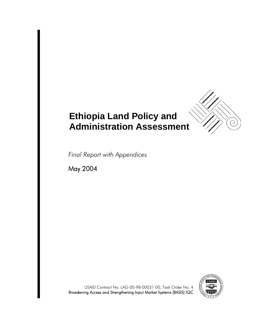

# **Ethiopia Land Policy and Administration Assessment**

*Final Report with Appendices*

May 2004



USAID Contract No. LAG-00-98-00031-00, Task Order No. 4 Broadening Access and Strengthening Input Market Systems (BASIS) IQC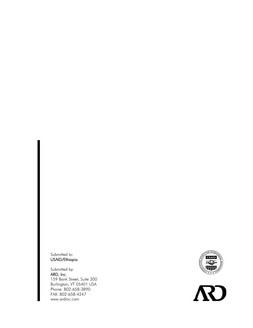Submitted to: USAID/Ethiopia

Submitted by: ARD, Inc. 159 Bank Street, Suite 300 Burlington, VT 05401 USA Phone: 802-658-3890 FAX: 802-658-4247 www.ardinc.com



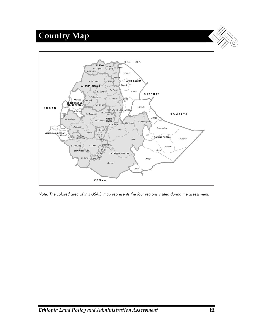# **Country Map**



*Note: The colored area of this USAID map represents the four regions visited during the assessment.*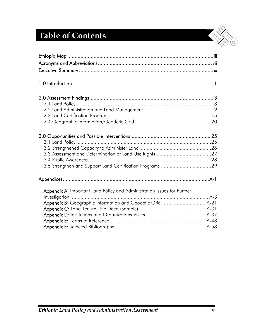# **Table of Contents**

| Appendix A: Important Land Policy and Administration Issues for Further |  |
|-------------------------------------------------------------------------|--|
|                                                                         |  |
| Appendix B: Geographic Information and Geodetic Grid A-21               |  |
|                                                                         |  |
|                                                                         |  |
|                                                                         |  |
|                                                                         |  |

S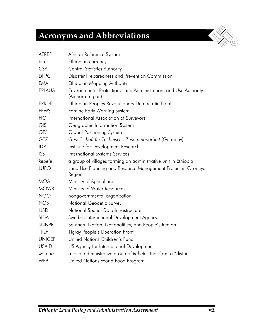# **Acronyms and Abbreviations**

| <b>AFREF</b>  | African Reference System                                                            |
|---------------|-------------------------------------------------------------------------------------|
| birr          | Ethiopian currency                                                                  |
| <b>CSA</b>    | <b>Central Statistics Authority</b>                                                 |
| <b>DPPC</b>   | Disaster Preparedness and Prevention Commission                                     |
| <b>EMA</b>    | <b>Ethiopian Mapping Authority</b>                                                  |
| <b>EPLAUA</b> | Environmental Protection, Land Administration, and Use Authority<br>(Amhara region) |
| <b>EPRDF</b>  | Ethiopian Peoples Revolutionary Democratic Front                                    |
| <b>FEWS</b>   | <b>Famine Early Warning System</b>                                                  |
| <b>FIG</b>    | International Association of Surveyors                                              |
| <b>GIS</b>    | Geographic Information System                                                       |
| <b>GPS</b>    | Global Positioning System                                                           |
| <b>GTZ</b>    | Gesellschaft für Technische Zusammenarbeit (Germany)                                |
| <b>IDR</b>    | Institute for Development Research                                                  |
| <b>ISS</b>    | International Systems Services                                                      |
| kebele        | a group of villages forming an administrative unit in Ethiopia                      |
| <b>LUPO</b>   | Land Use Planning and Resource Management Project in Oromiya<br>Region              |
| <b>MOA</b>    | Ministry of Agriculture                                                             |
| <b>MOWR</b>   | Ministry of Water Resources                                                         |
| <b>NGO</b>    | nongovernmental organization                                                        |
| <b>NGS</b>    | National Geodetic Survey                                                            |
| <b>NSDI</b>   | National Spatial Data Infrastructure                                                |
| <b>SIDA</b>   | Swedish International Development Agency                                            |
| <b>SNNPR</b>  | Southern Nation, Nationalities, and People's Region                                 |
| <b>TPLF</b>   | <b>Tigray People's Liberation Front</b>                                             |
| <b>UNICEF</b> | United Nations Children's Fund                                                      |
| <b>USAID</b>  | US Agency for International Development                                             |
| woreda        | a local administrative group of kebeles that form a "district"                      |
| WFP           | United Nations World Food Program                                                   |

 $\odot$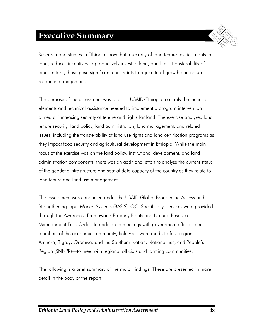# **Executive Summary**

Research and studies in Ethiopia show that insecurity of land tenure restricts rights in land, reduces incentives to productively invest in land, and limits transferability of land. In turn, these pose significant constraints to agricultural growth and natural resource management.

The purpose of the assessment was to assist USAID/Ethiopia to clarify the technical elements and technical assistance needed to implement a program intervention aimed at increasing security of tenure and rights for land. The exercise analyzed land tenure security, land policy, land administration, land management, and related issues, including the transferability of land use rights and land certification programs as they impact food security and agricultural development in Ethiopia. While the main focus of the exercise was on the land policy, institutional development, and land administration components, there was an additional effort to analyze the current status of the geodetic infrastructure and spatial data capacity of the country as they relate to land tenure and land use management.

The assessment was conducted under the USAID Global Broadening Access and Strengthening Input Market Systems (BASIS) IQC. Specifically, services were provided through the Awareness Framework: Property Rights and Natural Resources Management Task Order. In addition to meetings with government officials and members of the academic community, field visits were made to four regions— Amhara; Tigray; Oromiya; and the Southern Nation, Nationalities, and People's Region (SNNPR)—to meet with regional officials and farming communities.

The following is a brief summary of the major findings. These are presented in more detail in the body of the report.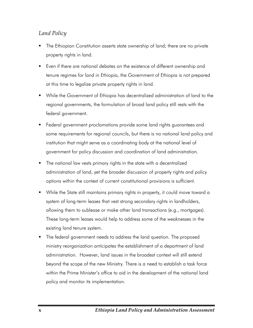### *Land Policy*

- The Ethiopian Constitution asserts state ownership of land; there are no private property rights in land.
- Even if there are national debates on the existence of different ownership and tenure regimes for land in Ethiopia, the Government of Ethiopia is not prepared at this time to legalize private property rights in land.
- While the Government of Ethiopia has decentralized administration of land to the regional governments, the formulation of broad land policy still rests with the federal government.
- Federal government proclamations provide some land rights guarantees and some requirements for regional councils, but there is no national land policy and institution that might serve as a coordinating body at the national level of government for policy discussion and coordination of land administration.
- The national law vests primary rights in the state with a decentralized administration of land, yet the broader discussion of property rights and policy options within the context of current constitutional provisions is sufficient.
- While the State still maintains primary rights in property, it could move toward a system of long-term leases that vest strong secondary rights in landholders, allowing them to sublease or make other land transactions (e.g., mortgages). These long-term leases would help to address some of the weaknesses in the existing land tenure system.
- **The federal government needs to address the land question. The proposed** ministry reorganization anticipates the establishment of a department of land administration. However, land issues in the broadest context will still extend beyond the scope of the new Ministry. There is a need to establish a task force within the Prime Minister's office to aid in the development of the national land policy and monitor its implementation.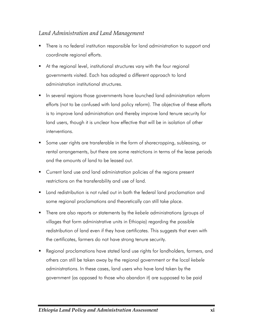### *Land Administration and Land Management*

- There is no federal institution responsible for land administration to support and coordinate regional efforts.
- At the regional level, institutional structures vary with the four regional governments visited. Each has adopted a different approach to land administration institutional structures.
- **IF** In several regions those governments have launched land administration reform efforts (not to be confused with land policy reform). The objective of these efforts is to improve land administration and thereby improve land tenure security for land users, though it is unclear how effective that will be in isolation of other interventions.
- Some user rights are transferable in the form of sharecropping, subleasing, or rental arrangements, but there are some restrictions in terms of the lease periods and the amounts of land to be leased out.
- **Current land use and land administration policies of the regions present** restrictions on the transferability and use of land.
- Land redistribution is not ruled out in both the federal land proclamation and some regional proclamations and theoretically can still take place.
- There are also reports or statements by the *kebele* administrations (groups of villages that form administrative units in Ethiopia) regarding the possible redistribution of land even if they have certificates. This suggests that even with the certificates, farmers do not have strong tenure security.
- Regional proclamations have stated land use rights for landholders, farmers, and others can still be taken away by the regional government or the local *kebele* administrations. In these cases, land users who have land taken by the government (as opposed to those who abandon it) are supposed to be paid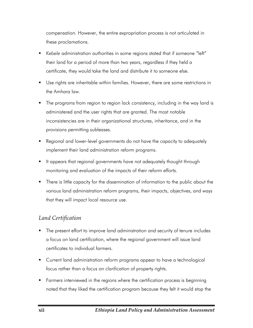compensation. However, the entire expropriation process is not articulated in these proclamations.

- *Kebele* administration authorities in some regions stated that if someone "left" their land for a period of more than two years, regardless if they held a certificate, they would take the land and distribute it to someone else.
- Use rights are inheritable within families. However, there are some restrictions in the Amhara law.
- The programs from region to region lack consistency, including in the way land is administered and the user rights that are granted. The most notable inconsistencies are in their organizational structures, inheritance, and in the provisions permitting subleases.
- Regional and lower-level governments do not have the capacity to adequately implement their land administration reform programs.
- It appears that regional governments have not adequately thought through monitoring and evaluation of the impacts of their reform efforts.
- There is little capacity for the dissemination of information to the public about the various land administration reform programs, their impacts, objectives, and ways that they will impact local resource use.

### *Land Certification*

- The present effort to improve land administration and security of tenure includes a focus on land certification, where the regional government will issue land certificates to individual farmers.
- Current land administration reform programs appear to have a technological focus rather than a focus on clarification of property rights.
- **Farmers interviewed in the regions where the certification process is beginning** noted that they liked the certification program because they felt it would stop the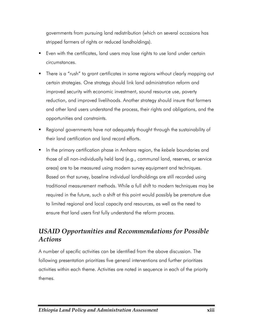governments from pursuing land redistribution (which on several occasions has stripped farmers of rights or reduced landholdings).

- Even with the certificates, land users may lose rights to use land under certain circumstances.
- **There is a "rush" to grant certificates in some regions without clearly mapping out** certain strategies. One strategy should link land administration reform and improved security with economic investment, sound resource use, poverty reduction, and improved livelihoods. Another strategy should insure that farmers and other land users understand the process, their rights and obligations, and the opportunities and constraints.
- Regional governments have not adequately thought through the sustainability of their land certification and land record efforts.
- In the primary certification phase in Amhara region, the *kebele* boundaries and those of all non-individually held land (e.g., communal land, reserves, or service areas) are to be measured using modern survey equipment and techniques. Based on that survey, baseline individual landholdings are still recorded using traditional measurement methods. While a full shift to modern techniques may be required in the future, such a shift at this point would possibly be premature due to limited regional and local capacity and resources, as well as the need to ensure that land users first fully understand the reform process.

## *USAID Opportunities and Recommendations for Possible Actions*

A number of specific activities can be identified from the above discussion. The following presentation prioritizes five general interventions and further prioritizes activities within each theme. Activities are noted in sequence in each of the priority themes.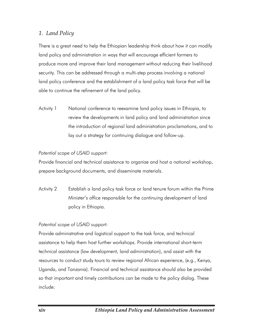### *1. Land Policy*

There is a great need to help the Ethiopian leadership think about how it can modify land policy and administration in ways that will encourage efficient farmers to produce more and improve their land management without reducing their livelihood security. This can be addressed through a multi-step process involving a national land policy conference and the establishment of a land policy task force that will be able to continue the refinement of the land policy.

Activity 1 National conference to reexamine land policy issues in Ethiopia, to review the developments in land policy and land administration since the introduction of regional land administration proclamations, and to lay out a strategy for continuing dialogue and follow-up.

#### *Potential scope of USAID support:*

Provide financial and technical assistance to organize and host a national workshop, prepare background documents, and disseminate materials.

Activity 2 Establish a land policy task force or land tenure forum within the Prime Minister's office responsible for the continuing development of land policy in Ethiopia.

#### *Potential scope of USAID support:*

Provide administrative and logistical support to the task force, and technical assistance to help them host further workshops. Provide international short-term technical assistance (law development, land administration), and assist with the resources to conduct study tours to review regional African experience, (e.g., Kenya, Uganda, and Tanzania). Financial and technical assistance should also be provided so that important and timely contributions can be made to the policy dialog. These include: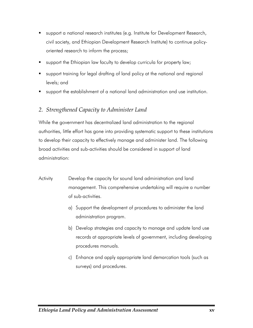- support a national research institutes (e.g. Institute for Development Research, civil society, and Ethiopian Development Research Institute) to continue policyoriented research to inform the process;
- support the Ethiopian law faculty to develop curricula for property law;
- support training for legal drafting of land policy at the national and regional levels; and
- support the establishment of a national land administration and use institution.

### *2. Strengthened Capacity to Administer Land*

While the government has decentralized land administration to the regional authorities, little effort has gone into providing systematic support to these institutions to develop their capacity to effectively manage and administer land. The following broad activities and sub-activities should be considered in support of land administration:

- Activity Develop the capacity for sound land administration and land management. This comprehensive undertaking will require a number of sub-activities.
	- a) Support the development of procedures to administer the land administration program.
	- b) Develop strategies and capacity to manage and update land use records at appropriate levels of government, including developing procedures manuals.
	- c) Enhance and apply appropriate land demarcation tools (such as surveys) and procedures.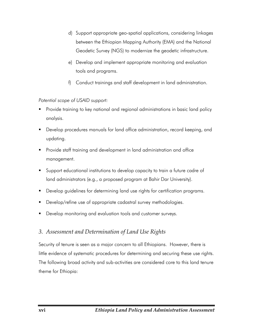- d) Support appropriate geo-spatial applications, considering linkages between the Ethiopian Mapping Authority (EMA) and the National Geodetic Survey (NGS) to modernize the geodetic infrastructure.
- e) Develop and implement appropriate monitoring and evaluation tools and programs.
- f) Conduct trainings and staff development in land administration.

*Potential scope of USAID support:* 

- Provide training to key national and regional administrations in basic land policy analysis.
- Develop procedures manuals for land office administration, record keeping, and updating.
- Provide staff training and development in land administration and office management.
- Support educational institutions to develop capacity to train a future cadre of land administrators (e.g., a proposed program at Bahir Dar University).
- Develop guidelines for determining land use rights for certification programs.
- **Develop/refine use of appropriate cadastral survey methodologies.**
- **Develop monitoring and evaluation tools and customer surveys.**

### *3. Assessment and Determination of Land Use Rights*

Security of tenure is seen as a major concern to all Ethiopians. However, there is little evidence of systematic procedures for determining and securing these use rights. The following broad activity and sub-activities are considered core to this land tenure theme for Ethiopia: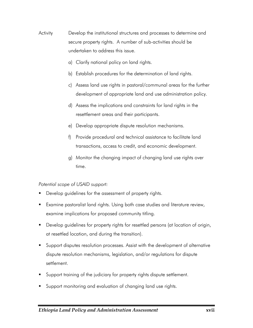- Activity Develop the institutional structures and processes to determine and secure property rights. A number of sub-activities should be undertaken to address this issue.
	- a) Clarify national policy on land rights.
	- b) Establish procedures for the determination of land rights.
	- c) Assess land use rights in pastoral/communal areas for the further development of appropriate land and use administration policy.
	- d) Assess the implications and constraints for land rights in the resettlement areas and their participants.
	- e) Develop appropriate dispute resolution mechanisms.
	- f) Provide procedural and technical assistance to facilitate land transactions, access to credit, and economic development.
	- g) Monitor the changing impact of changing land use rights over time.

#### *Potential scope of USAID support:*

- Develop guidelines for the assessment of property rights.
- Examine pastoralist land rights. Using both case studies and literature review, examine implications for proposed community titling.
- **Develop guidelines for property rights for resettled persons (at location of origin,** at resettled location, and during the transition).
- Support disputes resolution processes. Assist with the development of alternative dispute resolution mechanisms, legislation, and/or regulations for dispute settlement.
- Support training of the judiciary for property rights dispute settlement.
- Support monitoring and evaluation of changing land use rights.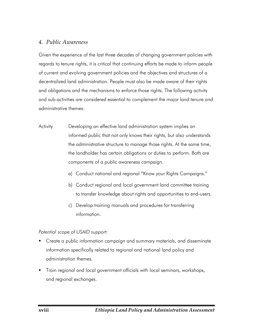#### *4. Public Awareness*

Given the experience of the last three decades of changing government policies with regards to tenure rights, it is critical that continuing efforts be made to inform people of current and evolving government policies and the objectives and structures of a decentralized land administration. People must also be made aware of their rights and obligations and the mechanisms to enforce those rights. The following activity and sub-activities are considered essential to complement the major land tenure and administrative themes:

- Activity Developing an effective land administration system implies an informed public that not only knows their rights, but also understands the administrative structure to manage those rights. At the same time, the landholder has certain obligations or duties to perform. Both are components of a public awareness campaign.
	- a) Conduct national and regional "Know your Rights Campaigns."
	- b) Conduct regional and local government land committee training to transfer knowledge about rights and opportunities to end-users.
	- c) Develop training manuals and procedures for transferring information.

*Potential scope of USAID support:* 

- **EXTENT Create a public information campaign and summary materials, and disseminate** information specifically related to regional and national land policy and administration themes.
- Train regional and local government officials with local seminars, workshops, and regional exchanges.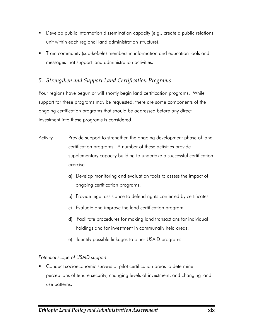- **Develop public information dissemination capacity (e.g., create a public relations** unit within each regional land administration structure).
- Train community (sub-*kebele*) members in information and education tools and messages that support land administration activities.

### *5. Strengthen and Support Land Certification Programs*

Four regions have begun or will shortly begin land certification programs. While support for these programs may be requested, there are some components of the ongoing certification programs that should be addressed before any direct investment into these programs is considered.

- Activity Provide support to strengthen the ongoing development phase of land certification programs. A number of these activities provide supplementary capacity building to undertake a successful certification exercise.
	- a) Develop monitoring and evaluation tools to assess the impact of ongoing certification programs.
	- b) Provide legal assistance to defend rights conferred by certificates.
	- c) Evaluate and improve the land certification program.
	- d) Facilitate procedures for making land transactions for individual holdings and for investment in communally held areas.
	- e) Identify possible linkages to other USAID programs.

#### *Potential scope of USAID support:*

**Conduct socioeconomic surveys of pilot certification areas to determine** perceptions of tenure security, changing levels of investment, and changing land use patterns.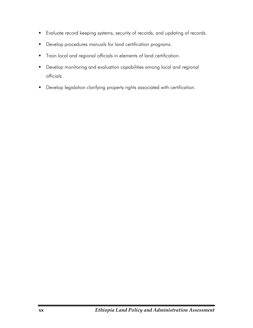- Evaluate record keeping systems, security of records, and updating of records.
- **•** Develop procedures manuals for land certification programs.
- Train local and regional officials in elements of land certification.
- Develop monitoring and evaluation capabilities among local and regional officials.
- **•** Develop legislation clarifying property rights associated with certification.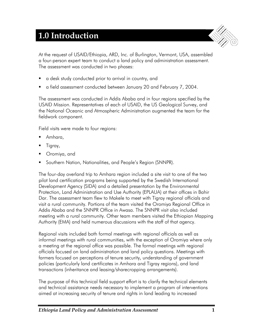# **1.0 Introduction**



At the request of USAID/Ethiopia, ARD, Inc. of Burlington, Vermont, USA, assembled a four-person expert team to conduct a land policy and administration assessment. The assessment was conducted in two phases:

- a desk study conducted prior to arrival in country, and
- a field assessment conducted between January 20 and February 7, 2004.

The assessment was conducted in Addis Ababa and in four regions specified by the USAID Mission. Representatives of each of USAID, the US Geological Survey, and the National Oceanic and Atmospheric Administration augmented the team for the fieldwork component.

Field visits were made to four regions:

- Amhara,
- Tigray,
- Oromiya, and
- **Southern Nation, Nationalities, and People's Region (SNNPR).**

The four-day overland trip to Amhara region included a site visit to one of the two pilot land certification programs being supported by the Swedish International Development Agency (SIDA) and a detailed presentation by the Environmental Protection, Land Administration and Use Authority (EPLAUA) at their offices in Bahir Dar. The assessment team flew to Makele to meet with Tigray regional officials and visit a rural community. Portions of the team visited the Oromiya Regional Office in Addis Ababa and the SNNPR Office in Awasa. The SNNPR visit also included meeting with a rural community. Other team members visited the Ethiopian Mapping Authority (EMA) and held numerous discussions with the staff of that agency.

Regional visits included both formal meetings with regional officials as well as informal meetings with rural communities, with the exception of Oromiya where only a meeting at the regional office was possible. The formal meetings with regional officials focused on land administration and land policy questions. Meetings with farmers focused on perceptions of tenure security, understanding of government policies (particularly land certificates in Amhara and Tigray regions), and land transactions (inheritance and leasing/sharecropping arrangements).

The purpose of this technical field support effort is to clarify the technical elements and technical assistance needs necessary to implement a program of interventions aimed at increasing security of tenure and rights in land leading to increased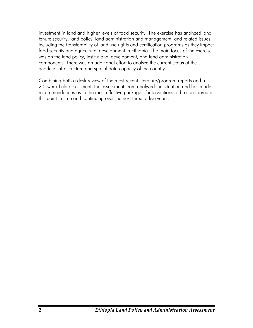investment in land and higher levels of food security. The exercise has analyzed land tenure security, land policy, land administration and management, and related issues, including the transferability of land use rights and certification programs as they impact food security and agricultural development in Ethiopia. The main focus of the exercise was on the land policy, institutional development, and land administration components. There was an additional effort to analyze the current status of the geodetic infrastructure and spatial data capacity of the country.

Combining both a desk review of the most recent literature/program reports and a 2.5-week field assessment, the assessment team analyzed the situation and has made recommendations as to the most effective package of interventions to be considered at this point in time and continuing over the next three to five years.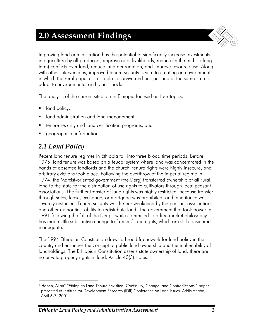# **2.0 Assessment Findings**



Improving land administration has the potential to significantly increase investments in agriculture by all producers, improve rural livelihoods, reduce (in the mid- to longterm) conflicts over land, reduce land degradation, and improve resource use. Along with other interventions, improved tenure security is vital to creating an environment in which the rural population is able to survive and prosper and at the same time to adapt to environmental and other shocks.

The analysis of the current situation in Ethiopia focused on four topics:

- land policy,
- **I** land administration and land management,
- **tenure security and land certification programs, and**
- geographical information.

# *2.1 Land Policy*

Recent land tenure regimes in Ethiopia fall into three broad time periods. Before 1975, land tenure was based on a feudal system where land was concentrated in the hands of absentee landlords and the church, tenure rights were highly insecure, and arbitrary evictions took place. Following the overthrow of the imperial regime in 1974, the Marxist-oriented government (the Derg) transferred ownership of all rural land to the state for the distribution of use rights to cultivators through local peasant associations. The further transfer of land rights was highly restricted, because transfer through sales, lease, exchange, or mortgage was prohibited, and inheritance was severely restricted. Tenure security was further weakened by the peasant associations' and other authorities' ability to redistribute land. The government that took power in 1991 following the fall of the Derg—while committed to a free market philosophy has made little substantive change to farmers' land rights, which are still considered inadequate.<sup>1</sup>

The 1994 Ethiopian Constitution draws a broad framework for land policy in the country and enshrines the concept of public land ownership and the inalienability of landholdings. The Ethiopian Constitution asserts state ownership of land; there are no private property rights in land. Article 40(3) states:

 $\overline{a}$ <sup>1</sup> Hoben, Allan" "Ethiopian Land Tenure Revisited: Continuity, Change, and Contradictions," paper presented at Institute for Development Research (IDR) Conference on Land Issues, Addis Ababa, April 6-7, 2001.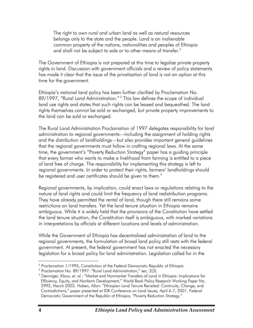The right to own rural and urban land as well as natural resources belongs only to the state and the people. Land is an inalienable common property of the nations, nationalities and peoples of Ethiopia and shall not be subject to sale or to other means of transfer. $^2$ 

The Government of Ethiopia is not prepared at this time to legalize private property rights in land. Discussion with government officials and a review of policy statements has made it clear that the issue of the privatization of land is not an option at this time for the government.

Ethiopia's national land policy has been further clarified by Proclamation No. 89/1997, "Rural Land Administration."<sup>3</sup> This law defines the scope of individual land use rights and states that such rights can be leased and bequeathed. The land rights themselves cannot be sold or exchanged, but private property improvements to the land can be sold or exchanged.

The Rural Land Administration Proclamation of 1997 delegates responsibility for land administration to regional governments—including the assignment of holding rights and the distribution of landholdings—but also provides important general guidelines that the regional governments must follow in crafting regional laws. At the same time, the government's "Poverty Reduction Strategy" paper has a guiding principle that every farmer who wants to make a livelihood from farming is entitled to a piece of land free of charge. The responsibility for implementing this strategy is left to regional governments. In order to protect their rights, farmers' landholdings should be registered and user certificates should be given to them.<sup>4</sup>

Regional governments, by implication, could enact laws or regulations relating to the nature of land rights and could limit the frequency of land redistribution programs. They have already permitted the rental of land, though there still remains some restrictions on land transfers. Yet the land tenure situation in Ethiopia remains ambiguous. While it is widely held that the provisions of the Constitution have settled the land tenure situation, the Constitution itself is ambiguous, with marked variations in interpretations by officials at different locations and levels of administration.

While the Government of Ethiopia has decentralized administration of land to the regional governments, the formulation of broad land policy still rests with the federal government. At present, the federal government has not enacted the necessary legislation for a broad policy for land administration. Legislation called for in the

 $\overline{a}$ 

<sup>&</sup>lt;sup>2</sup> Proclamation 1/1995, Constitution of the Federal Democratic Republic of Ethiopia.

<sup>&</sup>lt;sup>3</sup> Proclamation No. 89/1997: "Rural Land Administration," sec. 2(3).<br><sup>4</sup> Deininger, Klaus, et. al.: "Market and Nepmarket Transfers of Land i

Deininger, Klaus, *et. al*.: "Market and Nonmarket Transfers of Land in Ethiopia: Implications for Efficiency, Equity, and Nonfarm Development," World Bank Policy Research Working Paper No. 2992, March 2003. Hoben, Allan: "Ethiopian Land Tenure Revisited: Continuity, Change, and Contradictions," paper presented at IDR Conference on Land Issues, April 6-7, 2001. Federal Democratic Government of the Republic of Ethiopia, "Poverty Reduction Strategy."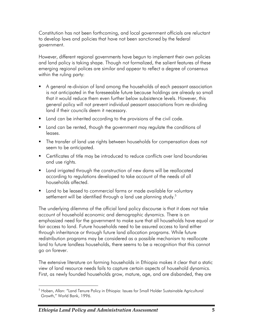Constitution has not been forthcoming, and local government officials are reluctant to develop laws and policies that have not been sanctioned by the federal government.

However, different regional governments have begun to implement their own policies and land policy is taking shape. Though not formalized, the salient features of these emerging regional polices are similar and appear to reflect a degree of consensus within the ruling party:

- A general re-division of land among the households of each peasant association is not anticipated in the foreseeable future because holdings are already so small that it would reduce them even further below subsistence levels. However, this general policy will not prevent individual peasant associations from re-dividing land if their councils deem it necessary.
- **Land can be inherited according to the provisions of the civil code.**
- **Land can be rented, though the government may regulate the conditions of** leases.
- The transfer of land use rights between households for compensation does not seem to be anticipated.
- **EXEC** Certificates of title may be introduced to reduce conflicts over land boundaries and use rights.
- **EXT** Land irrigated through the construction of new dams will be reallocated according to regulations developed to take account of the needs of all households affected.
- **Land to be leased to commercial farms or made available for voluntary** settlement will be identified through a land use planning study.<sup>5</sup>

The underlying dilemma of the official land policy discourse is that it does not take account of household economic and demographic dynamics. There is an emphasized need for the government to make sure that all households have equal or fair access to land. Future households need to be assured access to land either through inheritance or through future land allocation programs. While future redistribution programs may be considered as a possible mechanism to reallocate land to future landless households, there seems to be a recognition that this cannot go on forever.

The extensive literature on farming households in Ethiopia makes it clear that a static view of land resource needs fails to capture certain aspects of household dynamics. First, as newly founded households grow, mature, age, and are disbanded, they are

 $\overline{a}$ <sup>5</sup> Hoben, Allan: "Land Tenure Policy in Ethiopia: Issues for Small Holder Sustainable Agricultural Growth," World Bank, 1996.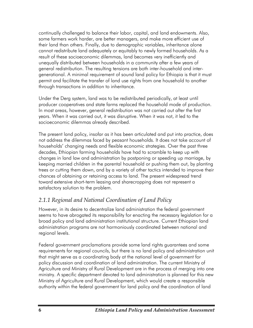continually challenged to balance their labor, capital, and land endowments. Also, some farmers work harder, are better managers, and make more efficient use of their land than others. Finally, due to demographic variables, inheritance alone cannot redistribute land adequately or equitably to newly formed households. As a result of these socioeconomic dilemmas, land becomes very inefficiently and unequally distributed between households in a community after a few years of general redistribution. The resulting tensions are both inter-household and intergenerational. A minimal requirement of sound land policy for Ethiopia is that it must permit and facilitate the transfer of land use rights from one household to another through transactions in addition to inheritance.

Under the Derg system, land was to be redistributed periodically, at least until producer cooperatives and state farms replaced the household mode of production. In most areas, however, general redistribution was not carried out after the first years. When it was carried out, it was disruptive. When it was not, it led to the socioeconomic dilemmas already described.

The present land policy, insofar as it has been articulated and put into practice, does not address the dilemmas faced by peasant households. It does not take account of households' changing needs and flexible economic strategies. Over the past three decades, Ethiopian farming households have had to scramble to keep up with changes in land law and administration by postponing or speeding up marriage, by keeping married children in the parental household or pushing them out, by planting trees or cutting them down, and by a variety of other tactics intended to improve their chances of obtaining or retaining access to land. The present widespread trend toward extensive short-term leasing and sharecropping does not represent a satisfactory solution to the problem.

## *2.1.1 Regional and National Coordination of Land Policy*

However, in its desire to decentralize land administration the federal government seems to have abrogated its responsibility for enacting the necessary legislation for a broad policy and land administration institutional structure. Current Ethiopian land administration programs are not harmoniously coordinated between national and regional levels.

Federal government proclamations provide some land rights guarantees and some requirements for regional councils, but there is no land policy and administration unit that might serve as a coordinating body at the national level of government for policy discussion and coordination of land administration. The current Ministry of Agriculture and Ministry of Rural Development are in the process of merging into one ministry. A specific department devoted to land administration is planned for this new Ministry of Agriculture and Rural Development, which would create a responsible authority within the federal government for land policy and the coordination of land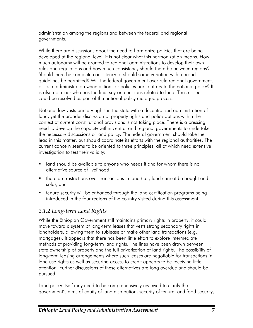administration among the regions and between the federal and regional governments.

While there are discussions about the need to harmonize policies that are being developed at the regional level, it is not clear what this harmonization means. How much autonomy will be granted to regional administrations to develop their own rules and regulations and how much consistency should there be between regions? Should there be complete consistency or should some variation within broad guidelines be permitted? Will the federal government over rule regional governments or local administration when actions or policies are contrary to the national policy? It is also not clear who has the final say on decisions related to land. These issues could be resolved as part of the national policy dialogue process.

National law vests primary rights in the state with a decentralized administration of land, yet the broader discussion of property rights and policy options within the context of current constitutional provisions is not taking place. There is a pressing need to develop the capacity within central and regional governments to undertake the necessary discussions of land policy. The federal government should take the lead in this matter, but should coordinate its efforts with the regional authorities. The current concern seems to be oriented to three principles, all of which need extensive investigation to test their validity:

- land should be available to anyone who needs it and for whom there is no alternative source of livelihood,
- **there are restrictions over transactions in land (i.e., land cannot be bought and** sold), and
- tenure security will be enhanced through the land certification programs being introduced in the four regions of the country visited during this assessment.

## *2.1.2 Long-term Land Rights*

While the Ethiopian Government still maintains primary rights in property, it could move toward a system of long-term leases that vests strong secondary rights in landholders, allowing them to sublease or make other land transactions (e.g., mortgages). It appears that there has been little effort to explore intermediate methods of providing long-term land rights. The lines have been drawn between state ownership of property and the full privatization of land rights. The possibility of long-term leasing arrangements where such leases are negotiable for transactions in land use rights as well as securing access to credit appears to be receiving little attention. Further discussions of these alternatives are long overdue and should be pursued.

Land policy itself may need to be comprehensively reviewed to clarify the government's aims of equity of land distribution, security of tenure, and food security,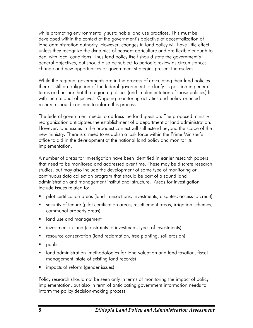while promoting environmentally sustainable land use practices. This must be developed within the context of the government's objective of decentralization of land administration authority. However, changes in land policy will have little effect unless they recognize the dynamics of peasant agriculture and are flexible enough to deal with local conditions. Thus land policy itself should state the government's general objectives, but should also be subject to periodic review as circumstances change and new opportunities or government strategies present themselves.

While the regional governments are in the process of articulating their land policies there is still an obligation of the federal government to clarify its position in general terms and ensure that the regional policies (and implementation of those policies) fit with the national objectives. Ongoing monitoring activities and policy-oriented research should continue to inform this process.

The federal government needs to address the land question. The proposed ministry reorganization anticipates the establishment of a department of land administration. However, land issues in the broadest context will still extend beyond the scope of the new ministry. There is a need to establish a task force within the Prime Minister's office to aid in the development of the national land policy and monitor its implementation.

A number of areas for investigation have been identified in earlier research papers that need to be monitored and addressed over time. These may be discrete research studies, but may also include the development of some type of monitoring or continuous data collection program that should be part of a sound land administration and management institutional structure. Areas for investigation include issues related to:

- pilot certification areas (land transactions, investments, disputes, access to credit)
- security of tenure (pilot certification areas, resettlement areas, irrigation schemes, communal property areas)
- **I** land use and management
- **EXT** investment in land (constraints to investment, types of investments)
- **•** resource conservation (land reclamation, tree planting, soil erosion)
- public
- **I** land administration (methodologies for land valuation and land taxation, fiscal management, state of existing land records)
- **F** impacts of reform (gender issues)

Policy research should not be seen only in terms of monitoring the impact of policy implementation, but also in term of anticipating government information needs to inform the policy decision-making process.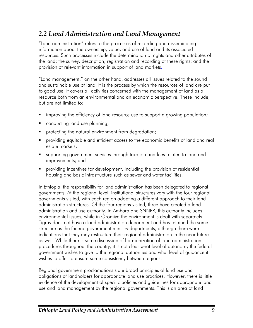## *2.2 Land Administration and Land Management*

"Land administration" refers to the processes of recording and disseminating information about the ownership, value, and use of land and its associated resources. Such processes include the determination of rights and other attributes of the land; the survey, description, registration and recording of these rights; and the provision of relevant information in support of land markets.

"Land management," on the other hand, addresses all issues related to the sound and sustainable use of land. It is the process by which the resources of land are put to good use. It covers all activities concerned with the management of land as a resource both from an environmental and an economic perspective. These include, but are not limited to:

- improving the efficiency of land resource use to support a growing population;
- conducting land use planning;
- protecting the natural environment from degradation;
- providing equitable and efficient access to the economic benefits of land and real estate markets;
- supporting government services through taxation and fees related to land and improvements; and
- providing incentives for development, including the provision of residential housing and basic infrastructure such as sewer and water facilities.

In Ethiopia, the responsibility for land administration has been delegated to regional governments. At the regional level, institutional structures vary with the four regional governments visited, with each region adopting a different approach to their land administration structures. Of the four regions visited, three have created a land administration and use authority. In Amhara and SNNPR, this authority includes environmental issues, while in Oromiya the environment is dealt with separately. Tigray does not have a land administration department and has retained the same structure as the federal government ministry departments, although there were indications that they may restructure their regional administration in the near future as well. While there is some discussion of harmonization of land administration procedures throughout the country, it is not clear what level of autonomy the federal government wishes to give to the regional authorities and what level of guidance it wishes to offer to ensure some consistency between regions.

Regional government proclamations state broad principles of land use and obligations of landholders for appropriate land use practices. However, there is little evidence of the development of specific policies and guidelines for appropriate land use and land management by the regional governments. This is an area of land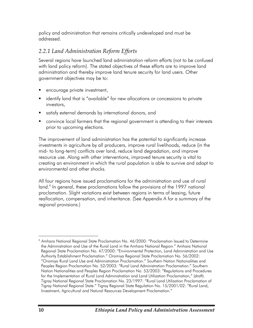policy and administration that remains critically undeveloped and must be addressed.

### *2.2.1 Land Administration Reform Efforts*

Several regions have launched land administration reform efforts (not to be confused with land policy reform). The stated objectives of these efforts are to improve land administration and thereby improve land tenure security for land users. Other government objectives may be to:

- encourage private investment,
- **EXT** identify land that is "available" for new allocations or concessions to private investors,
- satisfy external demands by international donors, and
- convince local farmers that the regional government is attending to their interests prior to upcoming elections.

The improvement of land administration has the potential to significantly increase investments in agriculture by all producers, improve rural livelihoods, reduce (in the mid- to long-term) conflicts over land, reduce land degradation, and improve resource use. Along with other interventions, improved tenure security is vital to creating an environment in which the rural population is able to survive and adapt to environmental and other shocks.

All four regions have issued proclamations for the administration and use of rural land.<sup>6</sup> In general, these proclamations follow the provisions of the 1997 national proclamation. Slight variations exist between regions in terms of leasing, future reallocation, compensation, and inheritance. (See Appendix A for a summary of the regional provisions.)

 $\overline{a}$ <sup>6</sup> Amhara National Regional State Proclamation No. 46/2000: "Proclamation Issued to Determine the Administration and Use of the Rural Land in the Amhara National Region." Amhara National Regional State Proclamation No. 47/2000: "Environmental Protection, Land Administration and Use Authority Establishment Proclamation." Oromiya Regional State Proclamation No. 56/2002: "Oromiya Rural Land Use and Administration Proclamation." Southern Nation Nationalities and Peoples Region Proclamation No. 52/2003: "Rural Land Administration Proclamation." Southern Nation Nationalities and Peoples Region Proclamation No. 53/2003: "Regulations and Procedures for the Implementation of Rural Land Administration and Land Utilization Proclamation," (draft). Tigray National Regional State Proclamation No. 23/1997: "Rural Land Utilization Proclamation of Tigray National Regional State." Tigray Regional State Regulation No. 15/2001/02: "Rural Land, Investment, Agricultural and Natural Resources Development Proclamation."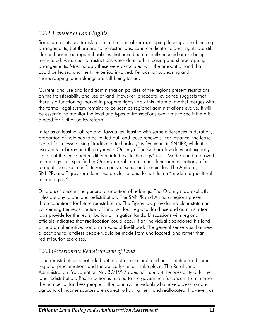### *2.2.2 Transfer of Land Rights*

Some use rights are transferable in the form of sharecropping, leasing, or subleasing arrangements, but there are some restrictions. Land certificate holders' rights are still clarified based on regional policies that have been recently enacted or are being formulated. A number of restrictions were identified in leasing and sharecropping arrangements. Most notably these were associated with the amount of land that could be leased and the time period involved. Periods for subleasing and sharecropping landholdings are still being tested.

Current land use and land administration policies of the regions present restrictions on the transferability and use of land. However, anecdotal evidence suggests that there is a functioning market in property rights. How this informal market merges with the formal legal system remains to be seen as regional administrations evolve. It will be essential to monitor the level and types of transactions over time to see if there is a need for further policy reform.

In terms of leasing, all regional laws allow leasing with some differences in duration, proportion of holdings to be rented out, and lease renewals. For instance, the lease period for a lessee using "traditional technology" is five years in SNNPR, while it is two years in Tigray and three years in Oromiya. The Amhara law does not explicitly state that the lease period differentiated by "technology" use. "Modern and improved technology," as specified in Oromiya rural land use and land administration, refers to inputs used such as fertilizer, improved seed, and herbicides. The Amhara, SNNPR, and Tigray rural land use proclamations do not define "modern agricultural technologies."

Differences arise in the general distribution of holdings. The Oromiya law explicitly rules out any future land redistribution. The SNNPR and Amhara regions present three conditions for future redistribution. The Tigray law provides no clear statement concerning the redistribution of land. All four regional land use and administration laws provide for the redistribution of irrigation lands. Discussions with regional officials indicated that reallocation could occur if an individual abandoned his land or had an alternative, nonfarm means of livelihood. The general sense was that new allocations to landless people would be made from unallocated land rather than redistribution exercises.

## *2.2.3 Government Redistribution of Land*

Land redistribution is not ruled out in both the federal land proclamation and some regional proclamations and theoretically can still take place. The Rural Land Administration Proclamation No. 89/1997 does not rule out the possibility of further land redistribution. Redistribution is related to the government's concern to minimize the number of landless people in the country. Individuals who have access to nonagricultural income sources are subject to having their land reallocated. However, as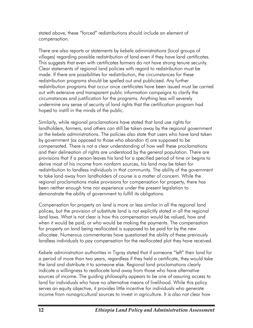stated above, these "forced" redistributions should include an element of compensation.

There are also reports or statements by *kebele* administrations (local groups of villages) regarding possible redistribution of land even if they have land certificates. This suggests that even with certificates farmers do not have strong tenure security. Clear statements of regional land policies with regard to redistribution must be made. If there are possibilities for redistribution, the circumstances for these redistribution programs should be spelled out and publicized. Any further redistribution programs that occur once certificates have been issued must be carried out with extensive and transparent public information campaigns to clarify the circumstances and justification for the programs. Anything less will severely undermine any sense of security of land rights that the certification program had hoped to instill in the minds of the public.

Similarly, while regional proclamations have stated that land use rights for landholders, farmers, and others can still be taken away by the regional government or the *kebele* administrations. The policies also state that users who have land taken by government (as opposed to those who abandon it) are supposed to be compensated. There is not a clear understanding of how well these proclamations and their delineation of rights are understood by the general population. There are provisions that if a person leaves his land for a specified period of time or begins to derive most of his income from nonfarm sources, his land may be taken for redistribution to landless individuals in that community. The ability of the government to take land away from landholders of course is a matter of concern. While the regional proclamations make provisions for compensation for property, there has been neither enough time nor experience under the present legislation to demonstrate the ability of government to fulfill its obligations.

Compensation for property on land is more or less similar in all the regional land polices, but the provision of substitute land is not explicitly stated in all the regional land laws. What is not clear is how this compensation would be valued, how and when it would be paid, or who would be making the payments. The compensation for property on land being reallocated is supposed to be paid for by the new allocatee. Numerous commentaries have questioned the ability of these previously landless individuals to pay compensation for the reallocated plot they have received.

*Kebele* administration authorities in Tigray stated that if someone "left" their land for a period of more than two years, regardless if they held a certificate, they would take the land and distribute it to someone else. Regional land proclamations clearly indicate a willingness to reallocate land away from those who have alternative sources of income. The guiding philosophy appears to be one of assuring access to land for individuals who have no alternative means of livelihood. While this policy serves an equity objective, it provides little incentive for individuals who generate income from nonagricultural sources to invest in agriculture. It is also not clear how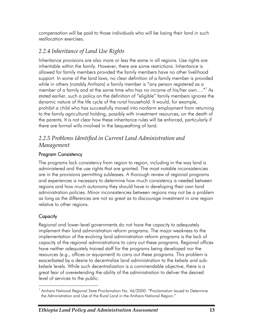compensation will be paid to those individuals who will be losing their land in such reallocation exercises.

### *2.2.4 Inheritance of Land Use Rights*

Inheritance provisions are also more or less the same in all regions. Use rights are inheritable within the family. However, there are some restrictions. Inheritance is allowed for family members provided the family members have no other livelihood support. In some of the land laws, no clear definition of a family member is provided while in others (notably Amhara) a family member is "any person registered as a member of a family and at the same time who has no income of his/her own....."<sup>7</sup> As stated earlier, such a policy on the definition of "eligible" family members ignores the dynamic nature of the life cycle of the rural household. It would, for example, prohibit a child who has successfully moved into nonfarm employment from returning to the family agricultural holding, possibly with investment resources, on the death of the parents. It is not clear how these inheritance rules will be enforced, particularly if there are formal wills involved in the bequeathing of land.

### *2.2.5 Problems Identified in Current Land Administration and Management*

### Program Consistency

The programs lack consistency from region to region, including in the way land is administered and the use rights that are granted. The most notable inconsistencies are in the provisions permitting subleases. A thorough review of regional programs and experiences is necessary to determine how much consistency is needed between regions and how much autonomy they should have in developing their own land administration policies. Minor inconsistencies between regions may not be a problem as long as the differences are not so great as to discourage investment in one region relative to other regions.

### **Capacity**

Regional and lower-level governments do not have the capacity to adequately implement their land administration reform programs. The major weakness to the implementation of the evolving land administration reform programs is the lack of capacity of the regional administrations to carry out these programs. Regional offices have neither adequately trained staff for the programs being developed nor the resources (e.g., offices or equipment) to carry out these programs. This problem is exacerbated by a desire to decentralize land administration to the *kebele* and sub*kebele* levels. While such decentralization is a commendable objective, there is a great fear of overextending the ability of the administration to deliver the desired level of services to the public.

 7 Amhara National Regional State Proclamation No. 46/2000: "Proclamation Issued to Determine the Administration and Use of the Rural Land in the Amhara National Region."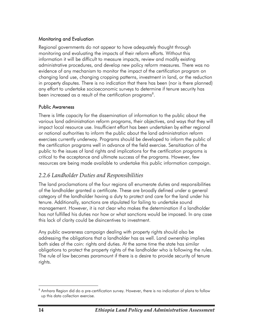### Monitoring and Evaluation

Regional governments do not appear to have adequately thought through monitoring and evaluating the impacts of their reform efforts. Without this information it will be difficult to measure impacts, review and modify existing administrative procedures, and develop new policy reform measures. There was no evidence of any mechanism to monitor the impact of the certification program on changing land use, changing cropping patterns, investment in land, or the reduction in property disputes. There is no indication that there has been (nor is there planned) any effort to undertake socioeconomic surveys to determine if tenure security has been increased as a result of the certification programs $^8$ .

#### Public Awareness

There is little capacity for the dissemination of information to the public about the various land administration reform programs, their objectives, and ways that they will impact local resource use. Insufficient effort has been undertaken by either regional or national authorities to inform the public about the land administration reform exercises currently underway. Programs should be developed to inform the public of the certification programs well in advance of the field exercise. Sensitization of the public to the issues of land rights and implications for the certification programs is critical to the acceptance and ultimate success of the programs. However, few resources are being made available to undertake this public information campaign.

### *2.2.6 Landholder Duties and Responsibilities*

The land proclamations of the four regions all enumerate duties and responsibilities of the landholder granted a certificate. These are broadly defined under a general category of the landholder having a duty to protect and care for the land under his tenure. Additionally, sanctions are stipulated for failing to undertake sound management. However, it is not clear who makes the determination if a landholder has not fulfilled his duties nor how or what sanctions would be imposed. In any case this lack of clarity could be disincentives to investment.

Any public awareness campaign dealing with property rights should also be addressing the obligations that a landholder has as well. Land ownership implies both sides of the coin: rights and duties. At the same time the state has similar obligations to protect the property rights of the landholder who is following the rules. The rule of law becomes paramount if there is a desire to provide security of tenure rights.

 8 Amhara Region did do a pre-certification survey. However, there is no indication of plans to follow up this data collection exercise.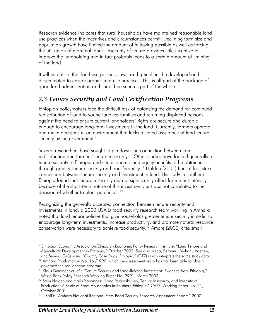Research evidence indicates that rural households have maintained reasonable land use practices when the incentives and circumstances permit. Declining farm size and population growth have limited the amount of fallowing possible as well as forcing the utilization of marginal lands. Insecurity of tenure provides little incentive to improve the landholding and in fact probably leads to a certain amount of "mining" of the land.

It will be critical that land use policies, laws, and guidelines be developed and disseminated to ensure proper land use practices. This is all part of the package of good land administration and should be seen as part of the whole.

## *2.3 Tenure Security and Land Certification Programs*

Ethiopian policymakers face the difficult task of balancing the demand for continued redistribution of land to young landless families and returning displaced persons against the need to ensure current landholders' rights are secure and durable enough to encourage long-term investments in the land. Currently, farmers operate and make decisions in an environment that lacks a stated assurance of land tenure security by the government. $\degree$ 

Several researchers have sought to pin down the connection between land redistribution and farmers' tenure insecurity.<sup>10</sup> Other studies have looked generally at tenure security in Ethiopia and cite economic and equity benefits to be obtained through greater tenure security and transferability.<sup>11</sup> Holden (2001) finds a less stark connection between tenure security and investment in land. His study in southern Ethiopia found that tenure insecurity did not significantly affect farm input intensity because of the short-term nature of this investment, but was not correlated to the decision of whether to plant perennials.<sup>12</sup>

Recognizing the generally accepted connection between tenure security and investments in land, a 2000 USAID food security research team working in Amhara noted that land tenure policies that give households greater tenure security in order to encourage long-term investments, increase productivity, and promote natural resource conservation were necessary to achieve food security.<sup>13</sup> Amare (2000) cites small

 $\overline{a}$ 

 $^9$  Ethiopian Economic Association/Ethiopian Economic Policy Research Institute: "Land Tenure and Agricultural Development in Ethiopia," October 2002. *See also* Nega, Berhanu, Berhanu Adenew, and Semaul G/Sellasie: "Country Case Study: Ethiopia," (GTZ) which interprets the same study data.<br><sup>10</sup> Amhara Proclamation No. 16 /1996, which the assessment team has not been able to obtain,

governed the reallocation program.

<sup>&</sup>lt;sup>11</sup> Klaus Deininger et. al.: "Tenure Security and Land-Related Investment: Evidence from Ethiopia," World Bank Policy Research Working Paper No. 2991, March 2003.

<sup>&</sup>lt;sup>12</sup> Stein Holden and Hailu Yohannes: "Land Redistribution, Tenure Insecurity, and Intensity of Production: A Study of Farm Households in Southern Ethiopia," CAPRi Working Paper No. 21, October 2001.

<sup>&</sup>lt;sup>13</sup> USAID: "Amhara National Regional State Food Security Research Assessment Report," 2000.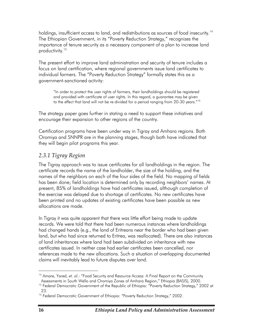holdings, insufficient access to land, and redistributions as sources of food insecurity.<sup>14</sup> The Ethiopian Government, in its "Poverty Reduction Strategy," recognizes the importance of tenure security as a necessary component of a plan to increase land productivity.<sup>15</sup>

The present effort to improve land administration and security of tenure includes a focus on land certification, where regional governments issue land certificates to individual farmers. The "Poverty Reduction Strategy" formally states this as a government-sanctioned activity:

"In order to protect the user rights of farmers, their landholdings should be registered and provided with certificate of user rights. In this regard, a guarantee may be given to the effect that land will not be re-divided for a period ranging from 20-30 years."16

The strategy paper goes further in stating a need to support these initiatives and encourage their expansion to other regions of the country.

Certification programs have been under way in Tigray and Amhara regions. Both Oromiya and SNNPR are in the planning stages, though both have indicated that they will begin pilot programs this year.

### *2.3.1 Tigray Region*

The Tigray approach was to issue certificates for all landholdings in the region. The certificate records the name of the landholder, the size of the holding, and the names of the neighbors on each of the four sides of the field. No mapping of fields has been done; field location is determined only by recording neighbors' names. At present, 85% of landholdings have had certificates issued, although completion of the exercise was delayed due to shortage of certificates. No new certificates have been printed and no updates of existing certificates have been possible as new allocations are made.

In Tigray it was quite apparent that there was little effort being made to update records. We were told that there had been numerous instances where landholdings had changed hands (e.g., the land of Eritreans near the border who had been given land, but who had since returned to Eritrea, was reallocated). There are also instances of land inheritances where land had been subdivided on inheritance with new certificates issued. In neither case had earlier certificates been cancelled, nor references made to the new allocations. Such a situation of overlapping documented claims will inevitably lead to future disputes over land.

 $\overline{a}$ <sup>14</sup> Amare, Yared, et. al.: "Food Security and Resource Access: A Final Report on the Community Assessments in South Wello and Oromiya Zones of Amhara Region," Ethiopia (BASIS), 2000.<br><sup>15</sup> Federal Democratic Government of the Republic of Ethiopia: "Poverty Reduction Strategy," 2002 at

<sup>23.</sup> 

<sup>&</sup>lt;sup>16</sup> Federal Democratic Government of Ethiopia: "Poverty Reduction Strategy," 2002.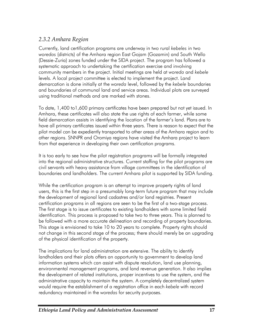# *2.3.2 Amhara Region*

Currently, land certification programs are underway in two rural *kebeles* in two *woredas* (districts) of the Amhara region East Gojam (Gozamin) and South Wello (Dessie-Zuria) zones funded under the SIDA project. The program has followed a systematic approach to undertaking the certification exercise and involving community members in the project. Initial meetings are held at *woreda* and *kebele* levels. A local project committee is elected to implement the project. Land demarcation is done initially at the *woreda* level, followed by the *kebele* boundaries and boundaries of communal land and service areas. Individual plots are surveyed using traditional methods and are marked with stones.

To date, 1,400 to1,600 primary certificates have been prepared but not yet issued. In Amhara, these certificates will also state the use rights of each farmer, while some field demarcation assists in identifying the location of the farmer's land. Plans are to have all primary certificates issued within three years. There is reason to expect that the pilot model can be expediently transported to other areas of the Amhara region and to other regions. SNNPR and Oromiya regions have visited the Amhara project to learn from that experience in developing their own certification programs.

It is too early to see how the pilot registration programs will be formally integrated into the regional administrative structures. Current staffing for the pilot programs are civil servants with heavy assistance from village committees in the identification of boundaries and landholders. The current Amhara pilot is supported by SIDA funding.

While the certification program is an attempt to improve property rights of land users, this is the first step in a presumably long-term future program that may include the development of regional land cadastres and/or land registries. Present certification programs in all regions are seen to be the first of a two-stage process. The first stage is to issue certificates to existing landholders with some limited field identification. This process is proposed to take two to three years. This is planned to be followed with a more accurate delineation and recording of property boundaries. This stage is envisioned to take 10 to 20 years to complete. Property rights should not change in this second stage of the process; there should merely be an upgrading of the physical identification of the property.

The implications for land administration are extensive. The ability to identify landholders and their plots offers an opportunity to government to develop land information systems which can assist with dispute resolution, land use planning, environmental management programs, and land revenue generation. It also implies the development of related institutions, proper incentives to use the system, and the administrative capacity to maintain the system. A completely decentralized system would require the establishment of a registration office in each *kebele* with record redundancy maintained in the *woredas* for security purposes.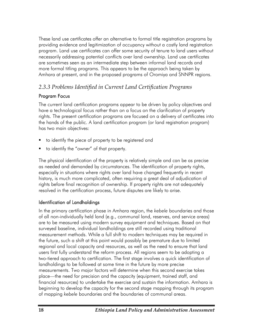These land use certificates offer an alternative to formal title registration programs by providing evidence and legitimization of occupancy without a costly land registration program. Land use certificates can offer some security of tenure to land users without necessarily addressing potential conflicts over land ownership. Land use certificates are sometimes seen as an intermediate step between informal land records and more formal titling programs. This appears to be the approach being taken by Amhara at present, and in the proposed programs of Oromiya and SNNPR regions.

# *2.3.3 Problems Identified in Current Land Certification Programs*

# Program Focus

The current land certification programs appear to be driven by policy objectives and have a technological focus rather than on a focus on the clarification of property rights. The present certification programs are focused on a delivery of certificates into the hands of the public. A land certification program (or land registration program) has two main objectives:

- to identify the piece of property to be registered and
- to identify the "owner" of that property.

The physical identification of the property is relatively simple and can be as precise as needed and demanded by circumstances. The identification of property rights, especially in situations where rights over land have changed frequently in recent history, is much more complicated, often requiring a great deal of adjudication of rights before final recognition of ownership. If property rights are not adequately resolved in the certification process, future disputes are likely to arise.

# Identification of Landholdings

In the primary certification phase in Amhara region, the *kebele* boundaries and those of all non-individually held land (e.g., communal land, reserves, and service areas) are to be measured using modern survey equipment and techniques. Based on that surveyed baseline, individual landholdings are still recorded using traditional measurement methods. While a full shift to modern techniques may be required in the future, such a shift at this point would possibly be premature due to limited regional and local capacity and resources, as well as the need to ensure that land users first fully understand the reform process. All regions seem to be adopting a two-tiered approach to certification. The first stage involves a quick identification of landholdings to be followed at some time in the future by more precise measurements. Two major factors will determine when this second exercise takes place—the need for precision and the capacity (equipment, trained staff, and financial resources) to undertake the exercise and sustain the information. Amhara is beginning to develop the capacity for the second stage mapping through its program of mapping *kebele* boundaries and the boundaries of communal areas.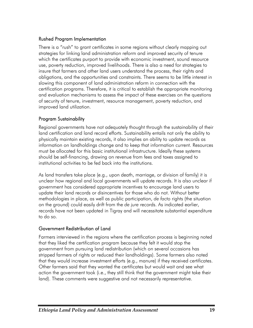#### Rushed Program Implementation

There is a "rush" to grant certificates in some regions without clearly mapping out strategies for linking land administration reform and improved security of tenure which the certificates purport to provide with economic investment, sound resource use, poverty reduction, improved livelihoods. There is also a need for strategies to insure that farmers and other land users understand the process, their rights and obligations, and the opportunities and constraints. There seems to be little interest in slowing this component of land administration reform in connection with the certification programs. Therefore, it is critical to establish the appropriate monitoring and evaluation mechanisms to assess the impact of these exercises on the questions of security of tenure, investment, resource management, poverty reduction, and improved land utilization.

#### Program Sustainability

Regional governments have not adequately thought through the sustainability of their land certification and land record efforts. Sustainability entails not only the ability to physically maintain existing records, it also implies an ability to update records as information on landholdings change and to keep that information current. Resources must be allocated for this basic institutional infrastructure. Ideally these systems should be self-financing, drawing on revenue from fees and taxes assigned to institutional activities to be fed back into the institutions.

As land transfers take place (e.g., upon death, marriage, or division of family) it is unclear how regional and local governments will update records. It is also unclear if government has considered appropriate incentives to encourage land users to update their land records or disincentives for those who do not. Without better methodologies in place, as well as public participation, *de facto* rights (the situation on the ground) could easily drift from the *de jure* records. As indicated earlier, records have not been updated in Tigray and will necessitate substantial expenditure to do so.

# Government Redistribution of Land

Farmers interviewed in the regions where the certification process is beginning noted that they liked the certification program because they felt it would stop the government from pursuing land redistribution (which on several occasions has stripped farmers of rights or reduced their landholdings). Some farmers also noted that they would increase investment efforts (e.g., manure) if they received certificates. Other farmers said that they wanted the certificates but would wait and see what action the government took (i.e., they still think that the government might take their land). These comments were suggestive and not necessarily representative.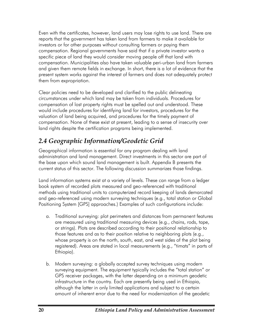Even with the certificates, however, land users may lose rights to use land. There are reports that the government has taken land from farmers to make it available for investors or for other purposes without consulting farmers or paying them compensation. Regional governments have said that if a private investor wants a specific piece of land they would consider moving people off that land with compensation. Municipalities also have taken valuable peri-urban land from farmers and given them remote fields in exchange. In short, there is a lot of evidence that the present system works against the interest of farmers and does not adequately protect them from expropriation.

Clear policies need to be developed and clarified to the public delineating circumstances under which land may be taken from individuals. Procedures for compensation of lost property rights must be spelled out and understood. These would include procedures for identifying land for investors, procedures for the valuation of land being acquired, and procedures for the timely payment of compensation. None of these exist at present, leading to a sense of insecurity over land rights despite the certification programs being implemented.

# *2.4 Geographic Information/Geodetic Grid*

Geographical information is essential for any program dealing with land administration and land management. Direct investments in this sector are part of the base upon which sound land management is built. Appendix B presents the current status of this sector. The following discussion summarizes those findings.

Land information systems exist at a variety of levels. These can range from a ledger book system of recorded plots measured and geo-referenced with traditional methods using traditional units to computerized record keeping of lands demarcated and geo-referenced using modern surveying techniques (e.g., total station or Global Positioning System [GPS] approaches.) Examples of such configurations include:

- a. Traditional surveying: plot perimeters and distances from permanent features are measured using traditional measuring devices (e.g., chains, rods, tape, or strings). Plots are described according to their positional relationship to those features and as to their position relative to neighboring plots (e.g., whose property is on the north, south, east, and west sides of the plot being registered). Areas are stated in local measurements (e.g., "timats" in parts of Ethiopia).
- b. Modern surveying: a globally accepted survey techniques using modern surveying equipment. The equipment typically includes the "total station" or GPS receiver packages, with the latter depending on a minimum geodetic infrastructure in the country. Each are presently being used in Ethiopia, although the latter in only limited applications and subject to a certain amount of inherent error due to the need for modernization of the geodetic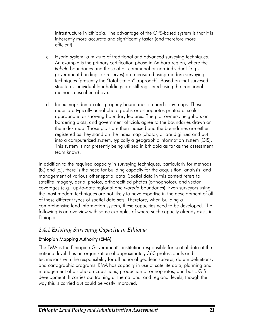infrastructure in Ethiopia. The advantage of the GPS-based system is that it is inherently more accurate and significantly faster (and therefore more efficient).

- c. Hybrid system: a mixture of traditional and advanced surveying techniques. An example is the primary certification phase in Amhara region, where the *kebele* boundaries and those of all communal or non-individual (e.g., government buildings or reserves) are measured using modern surveying techniques (presently the "total station" approach). Based on that surveyed structure, individual landholdings are still registered using the traditional methods described above.
- d. Index map: demarcates property boundaries on hard copy maps. These maps are typically aerial photographs or orthophotos printed at scales appropriate for showing boundary features. The plot owners, neighbors on bordering plots, and government officials agree to the boundaries drawn on the index map. Those plots are then indexed and the boundaries are either registered as they stand on the index map (photo), or are digitized and put into a computerized system, typically a geographic information system (GIS). This system is not presently being utilized in Ethiopia as far as the assessment team knows.

In addition to the required capacity in surveying techniques, particularly for methods (b.) and (c.), there is the need for building capacity for the acquisition, analysis, and management of various other spatial data. Spatial data in this context refers to satellite imagery, aerial photos, orthorectified photos (orthophotos), and vector coverages (e.g., up-to-date regional and *woreda* boundaries). Even surveyors using the most modern techniques are not likely to have expertise in the development of all of these different types of spatial data sets. Therefore, when building a comprehensive land information system, these capacities need to be developed. The following is an overview with some examples of where such capacity already exists in Ethiopia.

# *2.4.1 Existing Surveying Capacity in Ethiopia*

# Ethiopian Mapping Authority (EMA)

The EMA is the Ethiopian Government's institution responsible for spatial data at the national level. It is an organization of approximately 360 professionals and technicians with the responsibility for all national geodetic surveys, datum definitions, and cartographic programs. EMA has capacity in use of satellite data, planning and management of air photo acquisitions, production of orthophotos, and basic GIS development. It carries out training at the national and regional levels, though the way this is carried out could be vastly improved.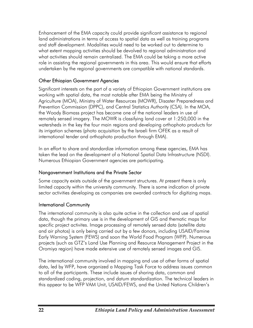Enhancement of the EMA capacity could provide significant assistance to regional land administrations in terms of access to spatial data as well as training programs and staff development. Modalities would need to be worked out to determine to what extent mapping activities should be devolved to regional administration and what activities should remain centralized. The EMA could be taking a more active role in assisting the regional governments in this area. This would ensure that efforts undertaken by the regional governments are compatible with national standards.

#### Other Ethiopian Government Agencies

Significant interests on the part of a variety of Ethiopian Government institutions are working with spatial data, the most notable after EMA being the Ministry of Agriculture (MOA), Ministry of Water Resources (MOWR), Disaster Preparedness and Prevention Commission (DPPC), and Central Statistics Authority (CSA). In the MOA, the Woody Biomass project has become one of the national leaders in use of remotely sensed imagery. The MOWR is classifying land cover at 1:250,000 in the watersheds in the key the four main regions and developing orthophoto products for its irrigation schemes (photo acquisition by the Israeli firm OFEK as a result of international tender and orthophoto production through EMA).

In an effort to share and standardize information among these agencies, EMA has taken the lead on the development of a National Spatial Data Infrastructure (NSDI). Numerous Ethiopian Government agencies are participating.

# Nongovernment Institutions and the Private Sector

Some capacity exists outside of the government structures. At present there is only limited capacity within the university community. There is some indication of private sector activities developing as companies are awarded contracts for digitizing maps.

# International Community

The international community is also quite active in the collection and use of spatial data, though the primary use is in the development of GIS and thematic maps for specific project activites. Image processing of remotely sensed data (satellite data and air photos) is only being carried out by a few donors, including USAID/Famine Early Warning System (FEWS) and soon the World Food Program (WFP). Numerous projects (such as GTZ's Land Use Planning and Resource Management Project in the Oromiya region) have made extensive use of remotely sensed images and GIS.

The international community involved in mapping and use of other forms of spatial data, led by WFP, have organized a Mapping Task Force to address issues common to all of the participants. These include issues of sharing data, common and standardized coding, projection, and datum standardization. The technical leaders in this appear to be WFP VAM Unit, USAID/FEWS, and the United Nations Children's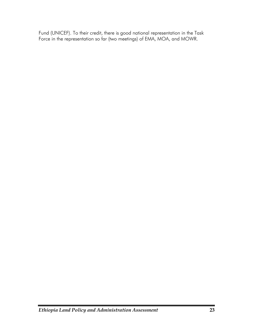Fund (UNICEF). To their credit, there is good national representation in the Task Force in the representation so far (two meetings) of EMA, MOA, and MOWR.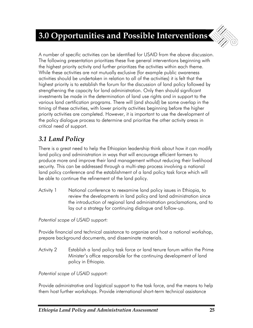

A number of specific activities can be identified for USAID from the above discussion. The following presentation prioritizes these five general interventions beginning with the highest priority activity and further prioritizes the activities within each theme. While these activities are not mutually exclusive (for example public awareness activities should be undertaken in relation to all of the activities) it is felt that the highest priority is to establish the forum for the discussion of land policy followed by strengthening the capacity for land administration. Only then should significant investments be made in the determination of land use rights and in support to the various land certification programs. There will (and should) be some overlap in the timing of these activities, with lower priority activities beginning before the higher priority activities are completed. However, it is important to use the development of the policy dialogue process to determine and prioritize the other activity areas in critical need of support.

# *3.1 Land Policy*

There is a great need to help the Ethiopian leadership think about how it can modify land policy and administration in ways that will encourage efficient farmers to produce more and improve their land management without reducing their livelihood security. This can be addressed through a multi-step process involving a national land policy conference and the establishment of a land policy task force which will be able to continue the refinement of the land policy.

Activity 1 National conference to reexamine land policy issues in Ethiopia, to review the developments in land policy and land administration since the introduction of regional land administration proclamations, and to lay out a strategy for continuing dialogue and follow-up.

*Potential scope of USAID support:*

Provide financial and technical assistance to organize and host a national workshop, prepare background documents, and disseminate materials.

Activity 2 Establish a land policy task force or land tenure forum within the Prime Minister's office responsible for the continuing development of land policy in Ethiopia.

*Potential scope of USAID support:*

Provide administrative and logistical support to the task force, and the means to help them host further workshops. Provide international short-term technical assistance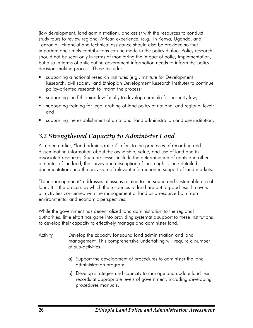(law development, land administration), and assist with the resources to conduct study tours to review regional African experience, (e.g., in Kenya, Uganda, and Tanzania). Financial and technical assistance should also be provided so that important and timely contributions can be made to the policy dialog. Policy research should not be seen only in terms of monitoring the impact of policy implementation, but also in terms of anticipating government information needs to inform the policy decision-making process. These include:

- supporting a national research institutes (e.g., Institute for Development Research, civil society, and Ethiopian Development Research Institute) to continue policy-oriented research to inform the process;
- supporting the Ethiopian law faculty to develop curricula for property law;
- supporting training for legal drafting of land policy at national and regional level; and
- supporting the establishment of a national land administration and use institution.

# *3.2 Strengthened Capacity to Administer Land*

As noted earlier, "land administration" refers to the processes of recording and disseminating information about the ownership, value, and use of land and its associated resources. Such processes include the determination of rights and other attributes of the land, the survey and description of these rights, their detailed documentation, and the provision of relevant information in support of land markets.

"Land management" addresses all issues related to the sound and sustainable use of land. It is the process by which the resources of land are put to good use. It covers all activities concerned with the management of land as a resource both from environmental and economic perspectives.

While the government has decentralized land administration to the regional authorities, little effort has gone into providing systematic support to these institutions to develop their capacity to effectively manage and administer land.

- Activity Develop the capacity for sound land administration and land management. This comprehensive undertaking will require a number of sub-activities.
	- a) Support the development of procedures to administer the land administration program.
	- b) Develop strategies and capacity to manage and update land use records at appropriate levels of government, including developing procedures manuals.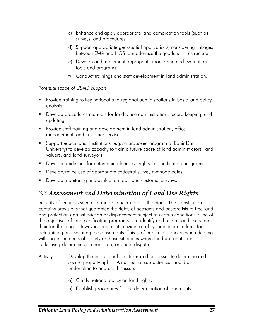- c) Enhance and apply appropriate land demarcation tools (such as surveys) and procedures.
- d) Support appropriate geo-spatial applications, considering linkages between EMA and NGS to modernize the geodetic infrastructure.
- e) Develop and implement appropriate monitoring and evaluation tools and programs.
- f) Conduct trainings and staff development in land administration.

- **Provide training to key national and regional administrations in basic land policy** analysis.
- Develop procedures manuals for land office administration, record keeping, and updating.
- Provide staff training and development in land administration, office management, and customer service.
- Support educational institutions (e.g., a proposed program at Bahir Dar University) to develop capacity to train a future cadre of land administrators, land valuers, and land surveyors.
- **Develop guidelines for determining land use rights for certification programs.**
- Develop/refine use of appropriate cadastral survey methodologies.
- **Develop monitoring and evaluation tools and customer surveys.**

# *3.3 Assessment and Determination of Land Use Rights*

Security of tenure is seen as a major concern to all Ethiopians. The Constitution contains provisions that guarantee the rights of peasants and pastoralists to free land and protection against eviction or displacement subject to certain conditions. One of the objectives of land certification programs is to identify and record land users and their landholdings. However, there is little evidence of systematic procedures for determining and securing these use rights. This is of particular concern when dealing with those segments of society or those situations where land use rights are collectively determined, in transition, or under dispute.

- Activity Develop the institutional structures and processes to determine and secure property rights. A number of sub-activities should be undertaken to address this issue.
	- a) Clarify national policy on land rights.
	- b) Establish procedures for the determination of land rights.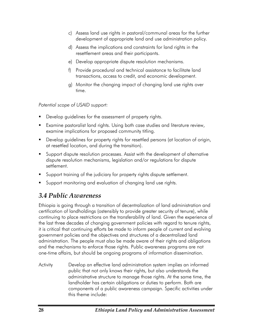- c) Assess land use rights in pastoral/communal areas for the further development of appropriate land and use administration policy.
- d) Assess the implications and constraints for land rights in the resettlement areas and their participants.
- e) Develop appropriate dispute resolution mechanisms.
- f) Provide procedural and technical assistance to facilitate land transactions, access to credit, and economic development.
- g) Monitor the changing impact of changing land use rights over time.

- Develop guidelines for the assessment of property rights.
- Examine pastoralist land rights. Using both case studies and literature review, examine implications for proposed community titling.
- Develop guidelines for property rights for resettled persons (at location of origin, at resettled location, and during the transition).
- Support dispute resolution processes. Assist with the development of alternative dispute resolution mechanisms, legislation and/or regulations for dispute settlement.
- Support training of the judiciary for property rights dispute settlement.
- Support monitoring and evaluation of changing land use rights.

# *3.4 Public Awareness*

Ethiopia is going through a transition of decentralization of land administration and certification of landholdings (ostensibly to provide greater security of tenure), while continuing to place restrictions on the transferability of land. Given the experience of the last three decades of changing government policies with regard to tenure rights, it is critical that continuing efforts be made to inform people of current and evolving government policies and the objectives and structures of a decentralized land administration. The people must also be made aware of their rights and obligations and the mechanisms to enforce those rights. Public awareness programs are not one-time affairs, but should be ongoing programs of information dissemination.

Activity Develop an effective land administration system implies an informed public that not only knows their rights, but also understands the administrative structure to manage those rights. At the same time, the landholder has certain obligations or duties to perform. Both are components of a public awareness campaign. Specific activities under this theme include: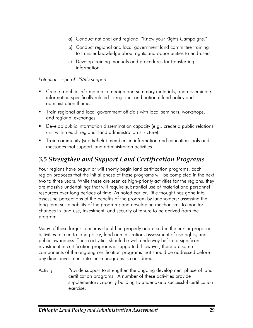- a) Conduct national and regional "Know your Rights Campaigns."
- b) Conduct regional and local government land committee training to transfer knowledge about rights and opportunities to end-users.
- c) Develop training manuals and procedures for transferring information.

- **EXTENT Create a public information campaign and summary materials, and disseminate** information specifically related to regional and national land policy and administration themes.
- **Train regional and local government officials with local seminars, workshops,** and regional exchanges.
- Develop public information dissemination capacity (e.g., create a public relations unit within each regional land administration structure).
- Train community (sub-*kebele*) members in information and education tools and messages that support land administration activities.

# *3.5 Strengthen and Support Land Certification Programs*

Four regions have begun or will shortly begin land certification programs. Each region proposes that the initial phase of these programs will be completed in the next two to three years. While these are seen as high-priority activities for the regions, they are massive undertakings that will require substantial use of material and personnel resources over long periods of time. As noted earlier, little thought has gone into assessing perceptions of the benefits of the program by landholders; assessing the long-term sustainability of the program; and developing mechanisms to monitor changes in land use, investment, and security of tenure to be derived from the program.

Many of these larger concerns should be properly addressed in the earlier proposed activities related to land policy, land administration, assessment of use rights, and public awareness. These activities should be well underway before a significant investment in certification programs is supported. However, there are some components of the ongoing certification programs that should be addressed before any direct investment into these programs is considered.

Activity Provide support to strengthen the ongoing development phase of land certification programs. A number of these activities provide supplementary capacity building to undertake a successful certification exercise.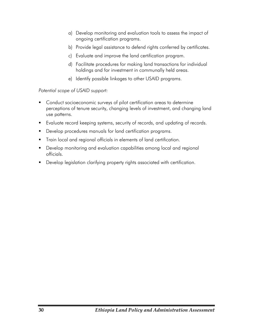- a) Develop monitoring and evaluation tools to assess the impact of ongoing certification programs.
- b) Provide legal assistance to defend rights conferred by certificates.
- c) Evaluate and improve the land certification program.
- d) Facilitate procedures for making land transactions for individual holdings and for investment in communally held areas.
- e) Identify possible linkages to other USAID programs.

- **Conduct socioeconomic surveys of pilot certification areas to determine** perceptions of tenure security, changing levels of investment, and changing land use patterns.
- Evaluate record keeping systems, security of records, and updating of records.
- **Develop procedures manuals for land certification programs.**
- **Train local and regional officials in elements of land certification.**
- **Develop monitoring and evaluation capabilities among local and regional** officials.
- **Develop legislation clarifying property rights associated with certification.**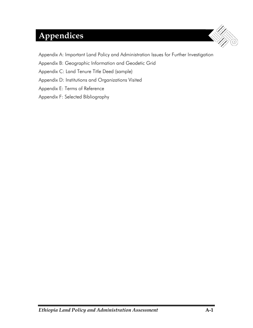# **Appendices**



Appendix A: Important Land Policy and Administration Issues for Further Investigation

Appendix B: Geographic Information and Geodetic Grid

Appendix C: Land Tenure Title Deed (sample)

Appendix D: Institutions and Organizations Visited

Appendix E: Terms of Reference

Appendix F: Selected Bibliography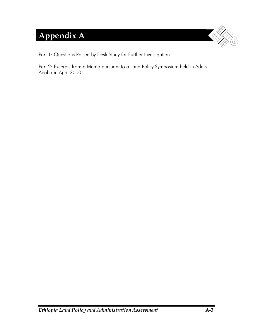# **Appendix A**



Part 1: Questions Raised by Desk Study for Further Investigation

Part 2: Excerpts from a Memo pursuant to a Land Policy Symposium held in Addis Ababa in April 2000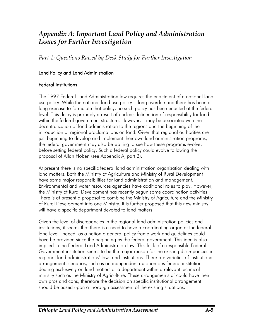# *Appendix A: Important Land Policy and Administration Issues for Further Investigation*

*Part 1: Questions Raised by Desk Study for Further Investigation* 

#### Land Policy and Land Administration

#### Federal Institutions

The 1997 Federal Land Administration law requires the enactment of a national land use policy. While the national land use policy is long overdue and there has been a long exercise to formulate that policy, no such policy has been enacted at the federal level. This delay is probably a result of unclear delineation of responsibility for land within the federal government structure. However, it may be associated with the decentralization of land administration to the regions and the beginning of the introduction of regional proclamations on land. Given that regional authorities are just beginning to develop and implement their own land administration programs, the federal government may also be waiting to see how these programs evolve, before setting federal policy. Such a federal policy could evolve following the proposal of Allan Hoben (see Appendix A, part 2).

At present there is no specific federal land administration organization dealing with land matters. Both the Ministry of Agriculture and Ministry of Rural Development have some major responsibilities for land administration and management. Environmental and water resources agencies have additional roles to play. However, the Ministry of Rural Development has recently begun some coordination activities. There is at present a proposal to combine the Ministry of Agriculture and the Ministry of Rural Development into one Ministry. It is further proposed that this new ministry will have a specific department devoted to land matters.

Given the level of discrepancies in the regional land administration policies and institutions, it seems that there is a need to have a coordinating organ at the federal land level. Indeed, as a nation a general policy frame work and guidelines could have be provided since the beginning by the federal government. This idea is also implied in the Federal Land Administration law. This lack of a responsible Federal Government institution seems to be the major reason for the existing discrepancies in regional land administrations' laws and institutions. There are varieties of institutional arrangement scenarios, such as an independent autonomous federal institution dealing exclusively on land matters or a department within a relevant technical ministry such as the Ministry of Agriculture. These arrangements of could have their own pros and cons; therefore the decision on specific institutional arrangement should be based upon a thorough assessment of the existing situations.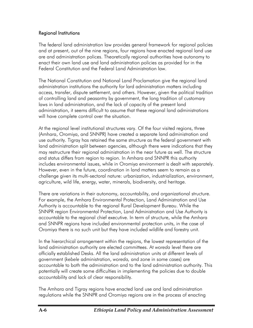#### Regional Institutions

The federal land administration law provides general framework for regional policies and at present, out of the nine regions, four regions have enacted regional land use are and administration polices. Theoretically regional authorities have autonomy to enact their own land use and land administration policies as provided for in the Federal Constitution and the Federal Land Administration law.

The National Constitution and National Land Proclamation give the regional land administration institutions the authority for lard administration matters including access, transfer, dispute settlement, and others. However, given the political tradition of controlling land and peasantry by government, the long tradition of customary laws in land administration, and the lack of capacity of the present land administration, it seems difficult to assume that these regional land administrations will have complete control over the situation.

At the regional level institutional structures vary. Of the four visited regions, three (Amhara, Oromiya, and SNNPR) have created a separate land administration and use authority. Tigray has retained the same structure as the federal government with land administration split between agencies, although there were indications that they may restructure their regional administration in the near future as well. The structure and status differs from region to region. In Amhara and SNNPR this authority includes environmental issues, while in Oromiya environment is dealt with separately. However, even in the future, coordination in land matters seem to remain as a challenge given its multi-sectoral nature: urbanization, industrialization, environment, agriculture, wild life, energy, water, minerals, biodiversity, and heritage.

There are variations in their autonomy, accountability, and organizational structure. For example, the Amhara Environmental Protection, Land Administration and Use Authority is accountable to the regional Rural Development Bureau. While the SNNPR region Environmental Protection, Land Administration and Use Authority is accountable to the regional chief executive. In term of structure, while the Amhara and SNNPR regions have included environmental protection units, in the case of Oromiya there is no such unit but they have included wildlife and forestry unit.

In the hierarchical arrangement within the regions, the lowest representation of the land administration authority are elected committees. At *woreda* level there are officially established Desks. All the land administration units at different levels of government (*kebele* administration, *woreda,* and zone in some cases) are accountable to both the administration and to the land administration authority. This potentially will create some difficulties in implementing the policies due to double accountability and lack of clear responsibility.

The Amhara and Tigray regions have enacted land use and land administration regulations while the SNNPR and Oromiya regions are in the process of enacting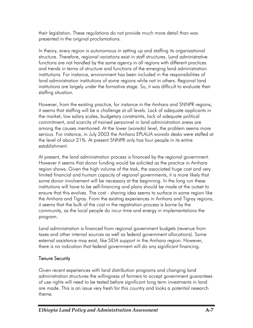their legislation. These regulations do not provide much more detail than was presented in the original proclamations.

In theory, every region is autonomous in setting up and staffing its organizational structure. Therefore, regional variations exist in staff structures. Land administrative functions are not handled by the same agency in all regions with different practices and trends in terms of structure and functions of the emerging land administration institutions. For instance, environment has been included in the responsibilities of land administration institutions of some regions while not in others. Regional land institutions are largely under the formative stage. So, it was difficult to evaluate their staffing situation.

However, from the existing practice, for instance in the Amhara and SNNPR regions, it seems that staffing will be a challenge at all levels. Lack of adequate applicants in the market, low salary scales, budgetary constraints, lack of adequate political commitment, and scarcity of trained personnel in land administration areas are among the causes mentioned. At the lower (*woreda*) level, the problem seems more serious. For instance, in July 2003 the Amhara EPLAUA *woreda* desks were staffed at the level of about 21%. At present SNNPR only has four people in its entire establishment.

At present, the land administration process is financed by the regional government. However it seems that donor funding would be solicited as the practice in Amhara region shows. Given the high volume of the task, the associated huge cost and very limited financial and human capacity of regional governments, it is more likely that some donor involvement will be necessary at the beginning. In the long run these institutions will have to be self-financing and plans should be made at the outset to ensure that this evolves. The cost - sharing idea seems to surface in some region like the Amhara and Tigray. From the existing experiences in Amhara and Tigray regions, it seems that the bulk of the cost in the registration process is borne by the community, as the local people do incur time and energy in implementations the program.

Land administration is financed from regional government budgets (revenue from taxes and other internal sources as well as federal government allocations). Some external assistance may exist, like SIDA support in the Amhara region. However, there is no indication that federal government will do any significant financing.

# Tenure Security

Given recent experiences with land distribution programs and changing land administration structures the willingness of farmers to accept government guarantees of use rights will need to be tested before significant long term investments in land are made. This is an issue very fresh for this country and looks a potential research theme.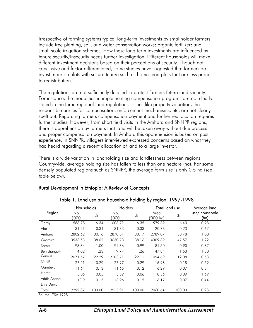Irrespective of farming systems typical long-term investments by smallholder farmers include tree planting, soil, and water conservation works; organic fertilizer; and small-scale irrigation schemes. How these long-term investments are influenced by tenure security/insecurity needs further investigation. Different households will make different investment decisions based on their perceptions of security. Though not conclusive and factor differentiated, some studies have suggested that farmers do invest more on plots with secure tenure such as homestead plots that are less prone to redistribution.

The regulations are not sufficiently detailed to protect farmers future land security. For instance, the modalities in implementing compensation programs are not clearly stated in the three regional land regulations. Issues like property valuation, the responsible parties for compensation, enforcement mechanisms, etc, are not clearly spelt out. Regarding farmers compensation payment and further reallocation requires further studies. However, from short field visits in the Amhara and SNNPR regions, there is apprehension by farmers that land will be taken away without due process and proper compensation payment. In Amhara this apprehension is based on past experience. In SNNPR, villagers interviewed expressed concerns based on what they had heard regarding a recent allocation of land to a large investor.

There is a wide variation in landholding size and landlessness between regions. Countrywide, average holding size has fallen to less than one hectare (ha). For some densely populated regions such as SNNPR, the average form size is only 0.5 ha (see table below).

|              | Households   |        | Holders       |        | Total land use    |        | Average land          |
|--------------|--------------|--------|---------------|--------|-------------------|--------|-----------------------|
| Region       | No.<br>'000) | $\%$   | No.<br>('000) | $\%$   | Area<br>('000 ha) | $\%$   | use/household<br>(ha) |
| Tigray       | 588.78       | 6.34   | 603.71        | 6.35   | 579.89            | 6.40   | 0.98                  |
| Afar         | 31.21        | 0.34   | 31.83         | 0.33   | 20.76             | 0.23   | 0.67                  |
| Amhara       | 2802.62      | 30.16  | 2870.81       | 30.17  | 2789.07           | 30.78  | 1.00                  |
| Oromiya      | 3533.53      | 38.02  | 3630.73       | 38.16  | 4309.89           | 47.57  | 1.22                  |
| Somali       | 93.34        | 1.00   | 94.36         | 0.99   | 81.50             | 0.90   | 0.87                  |
| Benishangul- | 114.02       | 1.23   | 119.77        | 1.26   | 147.84            | 1.63   | 1.30                  |
| Gumuz        | 2071.57      | 22.29  | 2103.71       | 22.11  | 1094.69           | 12.08  | 0.53                  |
| <b>SNNP</b>  | 27.21        | 0.29   | 27.97         | 0.29   | 15.98             | 0.18   | 0.59                  |
| Gambela      | 11.64        | 0.13   | 11.66         | 0.12   | 6.29              | 0.07   | 0.54                  |
| Harari       | 5.06         | 0.05   | 5.39          | 0.06   | 8.56              | 0.09   | 1.69                  |
| Addis Ababa  | 13.9         | 0.15   | 13.96         | 0.15   | 6.17              | 0.07   | 0.44                  |
| Dire Dawa    |              |        |               |        |                   |        |                       |
| Total        | 9292.87      | 100.00 | 9513.91       | 100.00 | 9060.64           | 100.00 | 0.98                  |

#### Rural Development in Ethiopia: A Review of Concepts

Table 1. Land use and household holding by region, 1997-1998

Source: CSA 1998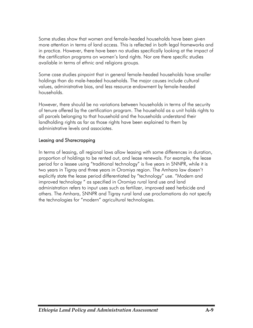Some studies show that women and female-headed households have been given more attention in terms of land access. This is reflected in both legal frameworks and in practice. However, there have been no studies specifically looking at the impact of the certification programs on women's land rights. Nor are there specific studies available in terms of ethnic and religions groups.

Some case studies pinpoint that in general female-headed households have smaller holdings than do male-headed households. The major causes include cultural values, administrative bias, and less resource endowment by female-headed households.

However, there should be no variations between households in terms of the security of tenure offered by the certification program. The household as a unit holds rights to all parcels belonging to that household and the households understand their landholding rights as far as those rights have been explained to them by administrative levels and associates.

#### Leasing and Sharecropping

In terms of leasing, all regional laws allow leasing with some differences in duration, proportion of holdings to be rented out, and lease renewals. For example, the lease period for a lessee using "traditional technology" is five years in SNNPR, while it is two years in Tigray and three years in Oromiya region. The Amhara law doesn't explicitly state the lease period differentiated by "technology" use. "Modern and improved technology " as specified in Oromiya rural land use and land administration refers to input uses such as fertilizer, improved seed herbicide and others. The Amhara, SNNPR and Tigray rural land use proclamations do not specify the technologies for "modern" agricultural technologies.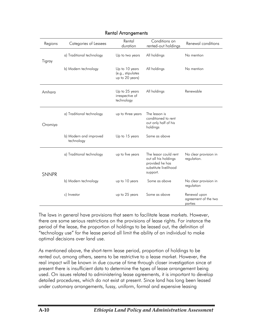| Regions      | Categories of Lessees                | Rental<br>duration                                     | Conditions on<br>rented-out holdings                                                                  | Renewal conditions                              |
|--------------|--------------------------------------|--------------------------------------------------------|-------------------------------------------------------------------------------------------------------|-------------------------------------------------|
| Tigray       | a) Traditional technology            | Up to two years                                        | All holdings                                                                                          | No mention                                      |
|              | b) Modern technology                 | Up to 10 years<br>(e.g., stipulates<br>up to 20 years) | All holdings                                                                                          | No mention                                      |
| Amhara       |                                      | Up to 25 years<br>irrespective of<br>technology        | All holdings                                                                                          | Renewable                                       |
| Oromiya      | a) Traditional technology            | up to three years                                      | The lesson is<br>conditioned to rent<br>out only half of his<br>holdings                              |                                                 |
|              | b) Modern and improved<br>technology | Up to 15 years                                         | Same as above                                                                                         |                                                 |
| <b>SNNPR</b> | a) Traditional technology            | up to five years                                       | The lessor could rent<br>out all his holdings<br>provided he has<br>substitute livelihood<br>support. | No clear provision in<br>regulation.            |
|              | b) Modern technology                 | up to 10 years                                         | Some as above                                                                                         | No clear provision in<br>regulation             |
|              | c) Investor                          | up to 25 years                                         | Some as above                                                                                         | Renewal upon<br>agreement of the two<br>parties |

#### Rental Arrangements

The laws in general have provisions that seem to facilitate lease markets. However, there are some serious restrictions on the provisions of lease rights. For instance the period of the lease, the proportion of holdings to be leased out, the definition of "technology use" for the lease period all limit the ability of an individual to make optimal decisions over land use.

As mentioned above, the short-term lease period, proportion of holdings to be rented out, among others, seems to be restrictive to a lease market. However, the real impact will be known in due course of time through closer investigation since at present there is insufficient data to determine the types of lease arrangement being used. On issues related to administering lease agreements, it is important to develop detailed procedures, which do not exist at present. Since land has long been leased under customary arrangements, fussy, uniform, formal and expensive leasing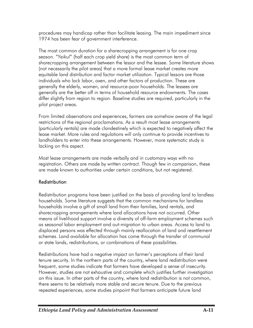procedures may handicap rather than facilitate leasing. The main impediment since 1974 has been fear of government interference.

The most common duration for a sharecropping arrangement is for one crop season. "*Yeikul*" (half each crop yield share) is the most common term of sharecropping arrangement between the lessor and the lessee. Some literature shows (not necessarily the pilot areas) that a more formal lease market creates more equitable land distribution and factor market utilization. Typical lessors are those individuals who lack labor, oxen, and other factors of production. These are generally the elderly, women, and resource-poor households. The lessees are generally are the better off in terms of household resource endowments. The cases differ slightly from region to region. Baseline studies are required, particularly in the pilot project areas.

From limited observations and experiences, farmers are somehow aware of the legal restrictions of the regional proclamations. As a result most lease arrangements (particularly rentals) are made clandestinely which is expected to negatively affect the lease market. More rules and regulations will only continue to provide incentives to landholders to enter into these arrangements. However, more systematic study is lacking on this aspect.

Most lease arrangements are made verbally and in customary ways with no registration. Others are made by written contract. Though few in comparison, these are made known to authorities under certain conditions, but not registered.

# **Redistribution**

Redistribution programs have been justified on the basis of providing land to landless households. Some literature suggests that the common mechanisms for landless households involve a gift of small land from their families, land rentals, and sharecropping arrangements where land allocations have not occurred. Other means of livelihood support involve a diversity of off-farm employment schemes such as seasonal labor employment and out-migration to urban areas. Access to land to displaced persons was effected through mainly reallocation of land and resettlement schemes. Land available for allocation has come through the transfer of communal or state lands, redistributions, or combinations of these possibilities.

Redistributions have had a negative impact on farmer's perceptions of their land tenure security. In the northern parts of the country, where land redistribution were frequent, some studies indicate that farmers have developed a sense of insecurity. However, studies are not exhaustive and complete which justifies further investigation on this issue. In other parts of the country, where land redistribution is not common, there seems to be relatively more stable and secure tenure. Due to the previous repeated experiences, some studies pinpoint that farmers anticipate future land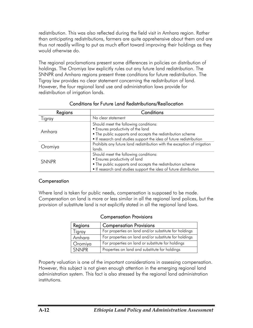redistribution. This was also reflected during the field visit in Amhara region. Rather than anticipating redistributions, farmers are quite apprehensive about them and are thus not readily willing to put as much effort toward improving their holdings as they would otherwise do.

The regional proclamations present some differences in policies on distribution of holdings. The Oromiya law explicitly rules out any future land redistribution. The SNNPR and Amhara regions present three conditions for future redistribution. The Tigray law provides no clear statement concerning the redistribution of land. However, the four regional land use and administration laws provide for redistribution of irrigation lands.

| Regions      | Conditions                                                                |  |  |
|--------------|---------------------------------------------------------------------------|--|--|
| Tigray       | No clear statement                                                        |  |  |
|              | Should meet the following conditions:                                     |  |  |
| Amhara       | <b>Ensures productivity of the land</b>                                   |  |  |
|              | • The public supports and accepts the redistribution scheme               |  |  |
|              | If research and studies support the idea of future redistribution         |  |  |
|              | Prohibits any future land redistribution with the exception of irrigation |  |  |
| Oromiya      | lands.                                                                    |  |  |
|              | Should meet the following conditions:                                     |  |  |
| <b>SNNPR</b> | <b>Ensures productivity of land</b>                                       |  |  |
|              | " The public supports and accepts the redistribution scheme               |  |  |
|              | If research and studies support the idea of future distribution           |  |  |

#### Conditions for Future Land Redistributions/Reallocation

#### **Compensation**

Where land is taken for public needs, compensation is supposed to be made. Compensation on land is more or less similar in all the regional land polices, but the provision of substitute land is not explicitly stated in all the regional land laws.

|              | COMPETISQUIDIT FTOVISIONS                             |
|--------------|-------------------------------------------------------|
| Regions      | <b>Compensation Provisions</b>                        |
| Tigray       | For properties on land and/or substitute for holdings |
| Amhara       | For properties on land and/or substitute for holdings |
| Oromiya      | For properties on land or substitute for holdings     |
| <b>SNNPR</b> | Properties on land and substitute for holdings        |

#### Compensation Provisions

Property valuation is one of the important considerations in assessing compensation. However, this subject is not given enough attention in the emerging regional land administration system. This fact is also stressed by the regional land administration institutions.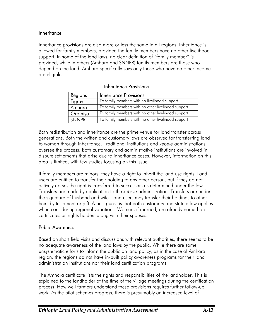#### **Inheritance**

Inheritance provisions are also more or less the same in all regions. Inheritance is allowed for family members, provided the family members have no other livelihood support. In some of the land laws, no clear definition of "family member" is provided, while in others (Amhara and SNNPR) family members are those who depend on the land. Amhara specifically says only those who have no other income are eligible.

| Regions      | Inheritance Provisions                             |
|--------------|----------------------------------------------------|
| Tigray       | To family members with no livelihood support       |
| Amhara       | To family members with no other livelihood support |
| Oromiya      | To family members with no other livelihood support |
| <b>SNNPR</b> | To family members with no other livelihood support |

Inheritance Provisions

Both redistribution and inheritance are the prime venue for land transfer across generations. Both the written and customary laws are observed for transferring land to woman through inheritance. Traditional institutions and *kebele* administrations oversee the process. Both customary and administrative institutions are involved in dispute settlements that arise due to inheritance cases. However, information on this area is limited, with few studies focusing on this issue.

If family members are minors, they have a right to inherit the land use rights. Land users are entitled to transfer their holding to any other person, but if they do not actively do so, the right is transferred to successors as determined under the law. Transfers are made by application to the *kebele* administration. Transfers are under the signature of husband and wife. Land users may transfer their holdings to other heirs by testament or gift. A best guess is that both customary and statute law applies when considering regional variations. Women, if married, are already named on certificates as rights holders along with their spouses.

#### Public Awareness

Based on short field visits and discussions with relevant authorities, there seems to be no adequate awareness of the land laws by the public. While there are some unsystematic efforts to inform the public on land policy, as in the case of Amhara region, the regions do not have in-built policy awareness programs for their land administration institutions nor their land certification programs.

The Amhara certificate lists the rights and responsibilities of the landholder. This is explained to the landholder at the time of the village meetings during the certification process. How well farmers understand these provisions requires further follow-up work. As the pilot schemes progress, there is presumably an increased level of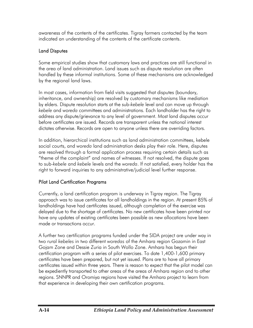awareness of the contents of the certificates. Tigray farmers contacted by the team indicated an understanding of the contents of the certificate contents.

### Land Disputes

Some empirical studies show that customary laws and practices are still functional in the area of land administration. Land issues such as dispute resolution are often handled by these informal institutions. Some of these mechanisms are acknowledged by the regional land laws.

In most cases, information from field visits suggested that disputes (boundary, inheritance, and ownership) are resolved by customary mechanisms like mediation by elders. Dispute resolution starts at the sub-*kebele* level and can move up through *kebele* and *woreda* committees and administrations. Each landholder has the right to address any dispute/grievance to any level of government. Most land disputes occur before certificates are issued. Records are transparent unless the national interest dictates otherwise. Records are open to anyone unless there are overriding factors.

In addition, hierarchical institutions such as land administration committees, kebele social courts, and *woreda* land administration desks play their role. Here, disputes are resolved through a formal application process requiring certain details such as "theme of the complaint" and names of witnesses. If not resolved, the dispute goes to sub-*kebele* and *kebele* levels and the *woreda*. If not satisfied, every holder has the right to forward inquiries to any administrative/judicial level further response.

# Pilot Land Certification Programs

Currently, a land certification program is underway in Tigray region. The Tigray approach was to issue certificates for all landholdings in the region. At present 85% of landholdings have had certificates issued, although completion of the exercise was delayed due to the shortage of certificates. No new certificates have been printed nor have any updates of existing certificates been possible as new allocations have been made or transactions occur.

A further two certification programs funded under the SIDA project are under way in two rural *kebeles* in two different *woredas* of the Amhara region Gozamin in East Gojam Zone and Dessie Zuria in South Wollo Zone. Amhara has begun their certification program with a series of pilot exercises. To date 1,400-1,600 primary certificates have been prepared, but not yet issued. Plans are to have all primary certificates issued within three years. There is reason to expect that the pilot model can be expediently transported to other areas of the areas of Amhara region and to other regions. SNNPR and Oromiya regions have visited the Amhara project to learn from that experience in developing their own certification programs.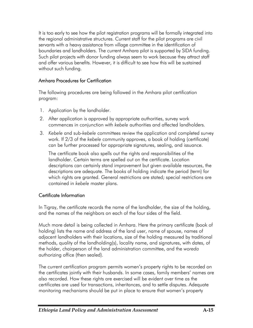It is too early to see how the pilot registration programs will be formally integrated into the regional administrative structures. Current staff for the pilot programs are civil servants with a heavy assistance from village committee in the identification of boundaries and landholders. The current Amhara pilot is supported by SIDA funding. Such pilot projects with donor funding always seem to work because they attract staff and offer various benefits. However, it is difficult to see how this will be sustained without such funding.

# Amhara Procedures for Certification

The following procedures are being followed in the Amhara pilot certification program:

- 1. Application by the landholder.
- 2. After application is approved by appropriate authorities, survey work commences in conjunction with *kebele* authorities and affected landholders.
- 3. *Kebele* and sub-*kebele* committees review the application and completed survey work. If 2/3 of the *kebele* community approves, a book of holding (certificate) can be further processed for appropriate signatures, sealing, and issuance.

The certificate book also spells out the rights and responsibilities of the landholder. Certain terms are spelled out on the certificate. Location descriptions can certainly stand improvement but given available resources, the descriptions are adequate. The books of holding indicate the period (term) for which rights are granted. General restrictions are stated; special restrictions are contained in *kebele* master plans.

#### Certificate Information

In Tigray, the certificate records the name of the landholder, the size of the holding, and the names of the neighbors on each of the four sides of the field.

Much more detail is being collected in Amhara. Here the primary certificate (book of holding) lists the name and address of the land user, name of spouse, names of adjacent landholders with their locations, size of the holding measured by traditional methods, quality of the landholding(s), locality name, and signatures, with dates, of the holder, chairperson of the land administration committee, and the *woreda* authorizing office (then sealed).

The current certification program permits women's property rights to be recorded on the certificates jointly with their husbands. In some cases, family members' names are also recorded. How these rights are exercised will be evident over time as the certificates are used for transactions, inheritances, and to settle disputes. Adequate monitoring mechanisms should be put in place to ensure that women's property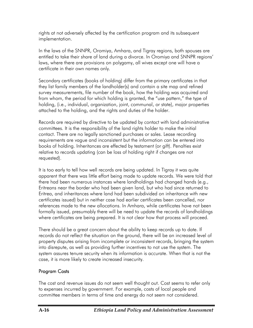rights at not adversely affected by the certification program and its subsequent implementation.

In the laws of the SNNPR, Oromiya, Amhara, and Tigray regions, both spouses are entitled to take their share of land during a divorce. In Oromiya and SNNPR regions' laws, where there are provisions on polygamy, all wives except one will have a certificate in their own names only.

Secondary certificates (books of holding) differ from the primary certificates in that they list family members of the landholder(s) and contain a site map and refined survey measurements, file number of the book, how the holding was acquired and from whom, the period for which holding is granted, the "use pattern," the type of holding, (i.e., individual, organization, joint, communal, or state), major properties attached to the holding, and the rights and duties of the holder.

Records are required by directive to be updated by contact with land administrative committees. It is the responsibility of the land rights holder to make the initial contact. There are no legally sanctioned purchases or sales. Lease recording requirements are vague and inconsistent but the information can be entered into books of holding. Inheritances are effected by testament (or gift). Penalties exist relative to records updating (can be loss of holding right if changes are not requested).

It is too early to tell how well records are being updated. In Tigray it was quite apparent that there was little effort being made to update records. We were told that there had been numerous instances where landholdings had changed hands (e.g., Eritreans near the border who had been given land, but who had since returned to Eritrea, and inheritances where land had been subdivided on inheritance with new certificates issued) but in neither case had earlier certificates been cancelled, nor references made to the new allocations. In Amhara, while certificates have not been formally issued, presumably there will be need to update the records of landholdings where certificates are being prepared. It is not clear how that process will proceed.

There should be a great concern about the ability to keep records up to date. If records do not reflect the situation on the ground, there will be an increased level of property disputes arising from incomplete or inconsistent records, bringing the system into disrepute, as well as providing further incentives to not use the system. The system assures tenure security when its information is accurate. When that is not the case, it is more likely to create increased insecurity.

# Program Costs

The cost and revenue issues do not seem well thought out. Cost seems to refer only to expenses incurred by government. For example, costs of local people and committee members in terms of time and energy do not seem not considered.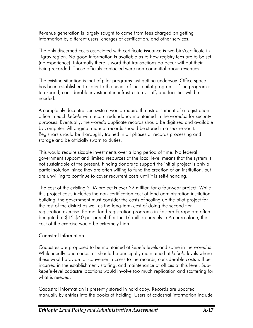Revenue generation is largely sought to come from fees charged on getting information by different users, charges of certification, and other services.

The only discerned costs associated with certificate issuance is two birr/certificate in Tigray region. No good information is available as to how registry fees are to be set (no experience). Informally there is word that transactions do occur without their being recorded. Those officials contacted were non-committal about revenues.

The existing situation is that of pilot programs just getting underway. Office space has been established to cater to the needs of these pilot programs. If the program is to expand, considerable investment in infrastructure, staff, and facilities will be needed.

A completely decentralized system would require the establishment of a registration office in each *kebele* with record redundancy maintained in the *woredas* for security purposes. Eventually, the *woreda* duplicate records should be digitized and available by computer. All original manual records should be stored in a secure vault. Registrars should be thoroughly trained in all phases of records processing and storage and be officially sworn to duties.

This would require sizable investments over a long period of time. No federal government support and limited resources at the local level means that the system is not sustainable at the present. Finding donors to support the initial project is only a partial solution, since they are often willing to fund the creation of an institution, but are unwilling to continue to cover recurrent costs until it is self-financing.

The cost of the existing SIDA project is over \$2 million for a four-year project. While this project costs includes the non-certification cost of land administration institution building, the government must consider the costs of scaling up the pilot project for the rest of the district as well as the long-term cost of doing the second tier registration exercise. Formal land registration programs in Eastern Europe are often budgeted at \$15-\$40 per parcel. For the 16 million parcels in Amhara alone, the cost of the exercise would be extremely high.

# Cadastral Information

Cadastres are proposed to be maintained at *kebele* levels and some in the *woredas*. While ideally land cadastres should be principally maintained at *kebele* levels where these would provide for convenient access to the records, considerable costs will be incurred in the establishment, staffing, and maintenance of offices at this level. Sub*kebele*-level cadastre locations would involve too much replication and scattering for what is needed.

Cadastral information is presently stored in hard copy. Records are updated manually by entries into the books of holding. Users of cadastral information include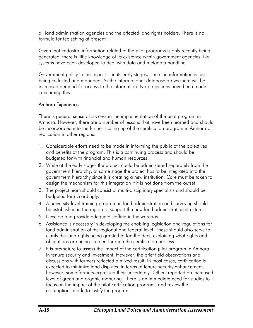all land administration agencies and the affected land rights holders. There is no formula for fee setting at present.

Given that cadastral information related to the pilot programs is only recently being generated, there is little knowledge of its existence within government agencies. No systems have been developed to deal with data and metadata handling.

Government policy in this aspect is in its early stages, since the information is just being collected and managed. As the informational database grows there will be increased demand for access to the information. No projections have been made concerning this.

#### Amhara Experience

There is general sense of success in the implementation of the pilot program in Amhara. However, there are a number of lessons that have been learned and should be incorporated into the further scaling up of the certification program in Amhara or replication in other regions:

- 1. Considerable efforts need to be made in informing the public of the objectives and benefits of the program. This is a continuing process and should be budgeted for with financial and human resources.
- 2. While at the early stages the project could be administered separately from the government hierarchy, at some stage the project has to be integrated into the government hierarchy since it is creating a new institution. Care must be taken to design the mechanism for this integration if it is not done from the outset.
- 3. The project team should consist of multi-disciplinary specialists and should be budgeted for accordingly.
- 4. A university-level training program in land administration and surveying should be established in the region to support the new land administration structures.
- 5. Develop and provide adequate staffing in the *woredas*.
- 6. Assistance is necessary in developing the enabling legislation and regulations for land administration at the regional and federal level. These should also serve to clarify the land rights being granted to landholders, explaining what rights and obligations are being created through the certification process.
- 7. It is premature to assess the impact of the certification pilot program in Amhara in tenure security and investment. However, the brief field observations and discussions with farmers reflected a mixed result. In most cases, certification is expected to minimize land disputes. In terms of tenure security enhancement, however, some farmers expressed their uncertainty. Others reported an increased level of green and organic manuring. There is an immediate need for studies to focus on the impact of the pilot certification programs and review the assumptions made to justify the program.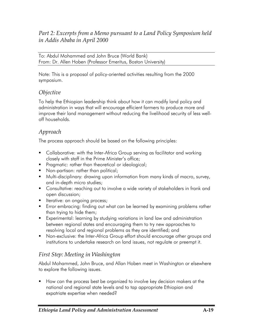# *Part 2: Excerpts from a Memo pursuant to a Land Policy Symposium held in Addis Ababa in April 2000*

To: Abdul Mohammed and John Bruce (World Bank) From: Dr. Allen Hoben (Professor Emeritus, Boston University)

Note: This is a proposal of policy-oriented activities resulting from the 2000 symposium.

#### *Objective*

To help the Ethiopian leadership think about how it can modify land policy and administration in ways that will encourage efficient farmers to produce more and improve their land management without reducing the livelihood security of less welloff households.

# *Approach*

The process approach should be based on the following principles:

- **Collaborative:** with the Inter-Africa Group serving as facilitator and working closely with staff in the Prime Minister's office;
- **Pragmatic: rather than theoretical or ideological;**
- **Non-partisan: rather than political;**
- Multi-disciplinary: drawing upon information from many kinds of macro, survey, and in-depth micro studies;
- Consultative: reaching out to involve a wide variety of stakeholders in frank and open discussion;
- **Iterative: an ongoing process;**
- **E** Frror embracing: finding out what can be learned by examining problems rather than trying to hide them;
- Experimental: learning by studying variations in land law and administration between regional states and encouraging them to try new approaches to resolving local and regional problems as they are identified; and
- Non-exclusive: the Inter-Africa Group effort should encourage other groups and institutions to undertake research on land issues, not regulate or preempt it.

# *First Step: Meeting in Washington*

Abdul Mohammed, John Bruce, and Allan Hoben meet in Washington or elsewhere to explore the following issues.

**How can the process best be organized to involve key decision makers at the** national and regional state levels and to tap appropriate Ethiopian and expatriate expertise when needed?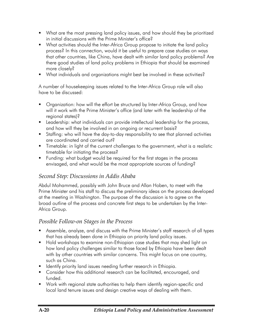- What are the most pressing land policy issues, and how should they be prioritized in initial discussions with the Prime Minister's office?
- What activities should the Inter-Africa Group propose to initiate the land policy process? In this connection, would it be useful to prepare case studies on ways that other countries, like China, have dealt with similar land policy problems? Are there good studies of land policy problems in Ethiopia that should be examined more closely?
- What individuals and organizations might best be involved in these activities?

A number of housekeeping issues related to the Inter-Africa Group role will also have to be discussed:

- Organization: how will the effort be structured by Inter-Africa Group, and how will it work with the Prime Minister's office (and later with the leadership of the regional states)?
- **Leadership:** what individuals can provide intellectual leadership for the process, and how will they be involved in an ongoing or recurrent basis?
- Staffing: who will have the day-to-day responsibility to see that planned activities are coordinated and carried out?
- **Timetable:** in light of the current challenges to the government, what is a realistic timetable for initiating the process?
- **Funding: what budget would be required for the first stages in the process** envisaged, and what would be the most appropriate sources of funding?

# *Second Step: Discussions in Addis Ababa*

Abdul Mohammed, possibly with John Bruce and Allan Hoben, to meet with the Prime Minister and his staff to discuss the preliminary ideas on the process developed at the meeting in Washington. The purpose of the discussion is to agree on the broad outline of the process and concrete first steps to be undertaken by the Inter-Africa Group.

# *Possible Follow-on Stages in the Process*

- Assemble, analyze, and discuss with the Prime Minister's staff research of all types that has already been done in Ethiopia on priority land policy issues.
- Hold workshops to examine non-Ethiopian case studies that may shed light on how land policy challenges similar to those faced by Ethiopia have been dealt with by other countries with similar concerns. This might focus on one country, such as China.
- **If Identify priority land issues needing further research in Ethiopia.**
- **Consider how this additional research can be facilitated, encouraged, and** funded.
- Work with regional state authorities to help them identify region-specific and local land tenure issues and design creative ways of dealing with them.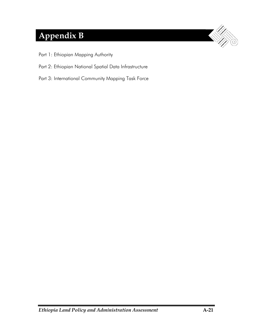# **Appendix B**

- Part 1: Ethiopian Mapping Authority
- Part 2: Ethiopian National Spatial Data Infrastructure
- Part 3: International Community Mapping Task Force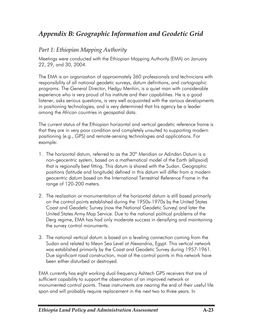# *Appendix B: Geographic Information and Geodetic Grid*

# *Part 1: Ethiopian Mapping Authority*

Meetings were conducted with the Ethiopian Mapping Authority (EMA) on January 22, 29, and 30, 2004.

The EMA is an organization of approximately 360 professionals and technicians with responsibility of all national geodetic surveys, datum definitions, and cartographic programs. The General Director, Hedgu Menhin, is a quiet man with considerable experience who is very proud of his institute and their capabilities. He is a good listener, asks serious questions, is very well acquainted with the various developments in positioning technologies, and is very determined that his agency be a leader among the African countries in geospatial data.

The current status of the Ethiopian horizontal and vertical geodetic reference frame is that they are in very poor condition and completely unsuited to supporting modern positioning (e.g., GPS) and remote-sensing technologies and applications. For example:

- 1. The horizontal datum, referred to as the 30<sup>th</sup> Meridian or Adindan Datum is a non-geocentric system, based on a mathematical model of the Earth (ellipsoid) that is regionally best fitting. This datum is shared with the Sudan. Geographic positions (latitude and longitude) defined in this datum will differ from a modern geocentric datum based on the International Terrestrial Reference Frame in the range of 120-200 meters.
- 2. The realization or monumentation of the horizontal datum is still based primarily on the control points established during the 1950s-1970s by the United States Coast and Geodetic Survey (now the National Geodetic Survey) and later the United States Army Map Service. Due to the national political problems of the Derg regime, EMA has had only moderate success in densifying and maintaining the survey control monuments.
- 3. The national vertical datum is based on a leveling connection coming from the Sudan and related to Mean Sea Level at Alexandria, Egypt. This vertical network was established primarily by the Coast and Geodetic Survey during 1957-1961. Due significant road construction, most of the control points in this network have been either disturbed or destroyed.

EMA currently has eight working dual-frequency Ashtech GPS receivers that are of sufficient capability to support the observation of an improved network or monumented control points. These instruments are nearing the end of their useful life span and will probably require replacement in the next two to three years. In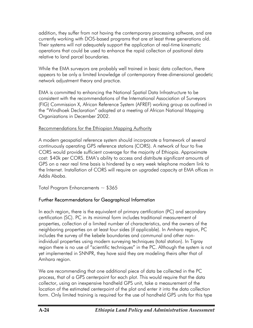addition, they suffer from not having the contemporary processing software, and are currently working with DOS-based programs that are at least three generations old. Their systems will not adequately support the application of real-time kinematic operations that could be used to enhance the rapid collection of positional data relative to land parcel boundaries.

While the EMA surveyors are probably well trained in basic data collection, there appears to be only a limited knowledge of contemporary three-dimensional geodetic network adjustment theory and practice.

EMA is committed to enhancing the National Spatial Data Infrastructure to be consistent with the recommendations of the International Association of Surveyors (FIG) Commission X, African Reference System (AFREF) working group as outlined in the "Windhoek Declaration" adopted at a meeting of African National Mapping Organizations in December 2002.

#### Recommendations for the Ethiopian Mapping Authority

A modern geospatial reference system should incorporate a framework of several continuously operating GPS reference stations (CORS). A network of four to five CORS would provide sufficient coverage for the majority of Ethiopia. Approximate cost: \$40k per CORS. EMA's ability to access and distribute significant amounts of GPS on a near real time basis is hindered by a very week telephone modem link to the Internet. Installation of CORS will require an upgraded capacity at EMA offices in Addis Ababa.

Total Program Enhancements  $\sim$  \$365

# Further Recommendations for Geographical Information

In each region, there is the equivalent of primary certification (PC) and secondary certification (SC). PC in its minimal form includes traditional measurement of properties, collection of a limited number of characteristics, and the owners of the neighboring properties on at least four sides (if applicable). In Amhara region, PC includes the survey of the kebele boundaries and communal and other nonindividual properties using modern surveying techniques (total station). In Tigray region there is no use of "scientific techniques" in the PC. Although the system is not yet implemented in SNNPR, they have said they are modeling theirs after that of Amhara region.

We are recommending that one additional piece of data be collected in the PC process, that of a GPS centerpoint for each plot. This would require that the data collector, using an inexpensive handheld GPS unit, take a measurement of the location of the estimated centerpoint of the plot and enter it into the data collection form. Only limited training is required for the use of handheld GPS units for this type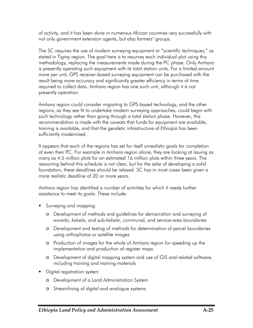of activity, and it has been done in numerous African countries very successfully with not only government extension agents, but also farmers' groups.

The SC requires the use of modern surveying equipment or "scientific techniques," as stated in Tigray region. The goal here is to resurvey each individual plot using this methodology, replacing the measurements made during the PC phase. Only Amhara is presently operating such equipment with its total station units. For a limited amount more per unit, GPS receiver-based surveying equipment can be purchased with the result being more accuracy and significantly greater efficiency in terms of time required to collect data. Amhara region has one such unit, although it is not presently operation.

Amhara region could consider migrating to GPS-based technology, and the other regions, as they see fit to undertake modern surveying approaches, could begin with such technology rather than going through a total station phase. However, this recommendation is made with the caveats that funds for equipment are available, training is available, and that the geodetic infrastructure of Ethiopia has been sufficiently modernized.

It appears that each of the regions has set for itself unrealistic goals for completion of even their PC. For example in Amhara region alone, they are looking at issuing as many as 4.5 million plots for an estimated 16 million plots within three years. The reasoning behind this schedule is not clear, but for the sake of developing a solid foundation, these deadlines should be relaxed. SC has in most cases been given a more realistic deadline of 20 or more years.

Amhara region has identified a number of activities for which it needs further assistance to meet its goals. These include:

- **Surveying and mapping** 
	- o Development of methods and guidelines for demarcation and surveying of *woreda*, *kebele*, and sub-*kebele*, communal, and service-area boundaries
	- o Development and testing of methods for determination of parcel boundaries using orthophotos or satellite images
	- o Production of images for the whole of Amhara region for speeding up the implementation and production of register maps
	- o Development of digital mapping system and use of GIS and related software, including training and training materials
- Digital registration system
	- o Development of a Land Administration System
	- o Streamlining of digital and analogue systems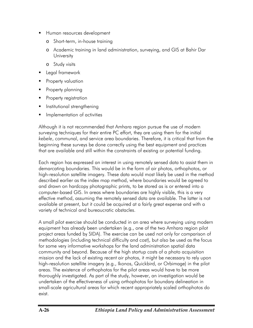- **Human resources development** 
	- o Short-term, in-house training
	- o Academic training in land administration, surveying, and GIS at Bahir Dar **University**
	- o Study visits
- **Legal framework**
- Property valuation
- Property planning
- Property registration
- Institutional strengthening
- **IMPLEMENTATION INCOCO** Interiors

Although it is not recommended that Amhara region pursue the use of modern surveying techniques for their entire PC effort, they are using them for the initial *kebele*, communal, and service area boundaries. Therefore, it is critical that from the beginning these surveys be done correctly using the best equipment and practices that are available and still within the constraints of existing or potential funding.

Each region has expressed an interest in using remotely sensed data to assist them in demarcating boundaries. This would be in the form of air photos, orthophotos, or high-resolution satellite imagery. These data would most likely be used in the method described earlier as the index map method, where boundaries would be agreed to and drawn on hardcopy photographic prints, to be stored as is or entered into a computer-based GIS. In areas where boundaries are highly visible, this is a very effective method, assuming the remotely sensed data are available. The latter is not available at present, but it could be acquired at a fairly great expense and with a variety of technical and bureaucratic obstacles.

A small pilot exercise should be conducted in an area where surveying using modern equipment has already been undertaken (e.g., one of the two Amhara region pilot project areas funded by SIDA). The exercise can be used not only for comparison of methodologies (including technical difficulty and cost), but also be used as the focus for some very informative workshops for the land administration spatial data community and beyond. Because of the high startup costs of a photo acquisition mission and the lack of existing recent air photos, it might be necessary to rely upon high-resolution satellite imagery (e.g., Ikonos, Quickbird, or Orbimage) in the pilot areas. The existence of orthophotos for the pilot areas would have to be more thoroughly investigated. As part of the study, however, an investigation would be undertaken of the effectiveness of using orthophotos for boundary delineation in small-scale agricultural areas for which recent appropriately scaled orthophotos do exist.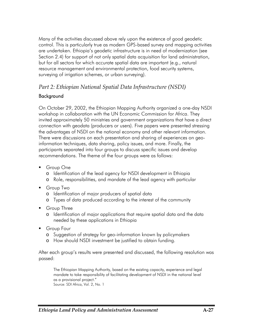Many of the activities discussed above rely upon the existence of good geodetic control. This is particularly true as modern GPS-based survey and mapping activities are undertaken. Ethiopia's geodetic infrastructure is in need of modernization (see Section 2.4) for support of not only spatial data acquisition for land administration, but for all sectors for which accurate spatial data are important (e.g., natural resource management and environmental protection, food security systems, surveying of irrigation schemes, or urban surveying).

### *Part 2: Ethiopian National Spatial Data Infrastructure (NSDI)*

### Background

On October 29, 2002, the Ethiopian Mapping Authority organized a one-day NSDI workshop in collaboration with the UN Economic Commission for Africa. They invited approximately 50 ministries and government organizations that have a direct connection with geodata (producers or users). Five papers were presented stressing the advantages of NSDI on the national economy and other relevant information. There were discussions on each presentation and sharing of experiences on geoinformation techniques, data sharing, policy issues, and more. Finally, the participants separated into four groups to discuss specific issues and develop recommendations. The theme of the four groups were as follows:

- Group One
	- o Identification of the lead agency for NSDI development in Ethiopia
	- o Role, responsibilities, and mandate of the lead agency with particular
- Group Two
	- o Identification of major producers of spatial data
	- o Types of data produced according to the interest of the community
- Group Three
	- o Identification of major applications that require spatial data and the data needed by these applications in Ethiopia
- Group Four
	- o Suggestion of strategy for geo-information known by policymakers
	- o How should NSDI investment be justified to obtain funding.

After each group's results were presented and discussed, the following resolution was passed:

The Ethiopian Mapping Authority, based on the existing capacity, experience and legal mandate to take responsibility of facilitating development of NSDI in the national level as a provisional project." Source: SDI Africa, Vol. 2, No. 1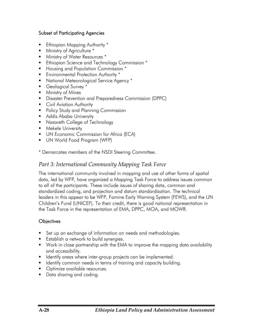#### Subset of Participating Agencies

- Ethiopian Mapping Authority \*
- **Ministry of Agriculture \***
- Ministry of Water Resources  $*$
- Ethiopian Science and Technology Commission \*
- **Housing and Population Commission** \*
- **Environmental Protection Authority** \*
- **National Meteorological Service Agency** \*
- Geological Survey \*
- Ministry of Mines
- **Disaster Prevention and Preparedness Commission (DPPC)**
- **Civil Aviation Authority**
- **Policy Study and Planning Commission**
- **Addis Ababa University**
- Nazareth College of Technology
- Mekele University
- **UN Economic Commission for Africa (ECA)**
- UN World Food Program (WFP)
- \* Demarcates members of the NSDI Steering Committee.

### *Part 3: International Community Mapping Task Force*

The international community involved in mapping and use of other forms of spatial data, led by WFP, have organized a Mapping Task Force to address issues common to all of the participants. These include issues of sharing data, common and standardized coding, and projection and datum standardization. The technical leaders in this appear to be WFP, Famine Early Warning System (FEWS), and the UN Children's Fund (UNICEF). To their credit, there is good national representation in the Task Force in the representation of EMA, DPPC, MOA, and MOWR.

#### **Objectives**

- Set up an exchange of information on needs and methodologies.
- **Establish a network to build synergies.**
- Work in close partnership with the EMA to improve the mapping data availability and accessibility.
- **If Identify areas where inter-group projects can be implemented.**
- **If Identify common needs in terms of training and capacity building.**
- Optimize available resources.
- **Data sharing and coding.**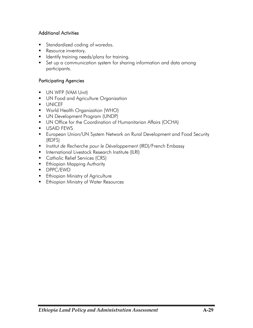### Additional Activities

- Standardized coding of *woredas.*
- Resource inventory.
- **IDENTIFY IS ALSO THE INCOCO FOR THE INCOCO FIGURE 10**
- Set up a communication system for sharing information and data among participants.

### Participating Agencies

- **UN WFP (VAM Unit)**
- **UN Food and Agriculture Organization**
- UNICEF
- World Health Organization (WHO)
- **UN Development Program (UNDP)**
- UN Office for the Coordination of Humanitarian Affairs (OCHA)
- USAID FEWS
- European Union/UN System Network on Rural Development and Food Security (RDFS)
- *Institut de Recherche pour le Développement* (IRD)/French Embassy
- **International Livestock Research Institute (ILRI)**
- **Catholic Relief Services (CRS)**
- **Ethiopian Mapping Authority**
- DPPC/EWD
- **Ethiopian Ministry of Agriculture**
- **Ethiopian Ministry of Water Resources**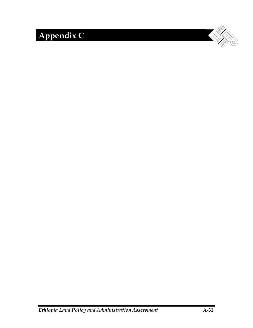# **Appendix C**

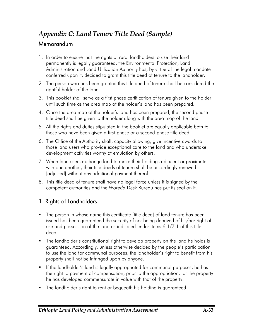# *Appendix C: Land Tenure Title Deed (Sample)*  Memorandum

- 1. In order to ensure that the rights of rural landholders to use their land permanently is legally guaranteed, the Environmental Protection, Land Administration and Land Utilization Authority has, by virtue of the legal mandate conferred upon it, decided to grant this title deed of tenure to the landholder.
- 2. The person who has been granted this title deed of tenure shall be considered the rightful holder of the land.
- 3. This booklet shall serve as a first phase certification of tenure given to the holder until such time as the area map of the holder's land has been prepared.
- 4. Once the area map of the holder's land has been prepared, the second phase title deed shall be given to the holder along with the area map of the land.
- 5. All the rights and duties stipulated in the booklet are equally applicable both to those who have been given a first-phase or a second-phase title deed.
- 6. The Office of the Authority shall, capacity allowing, give incentive awards to those land users who provide exceptional care to the land and who undertake development activities worthy of emulation by others.
- 7. When land users exchange land to make their holdings adjacent or proximate with one another, their title deeds of tenure shall be accordingly renewed [adjusted] without any additional payment thereof.
- 8. This title deed of tenure shall have no legal force unless it is signed by the competent authorities and the *Woreda* Desk Bureau has put its seal on it.

# 1. Rights of Landholders

- The person in whose name this certificate [title deed] of land tenure has been issued has been guaranteed the security of not being deprived of his/her right of use and possession of the land as indicated under items 6.1/7.1 of this title deed.
- The landholder's constitutional right to develop property on the land he holds is guaranteed. Accordingly, unless otherwise decided by the people's participation to use the land for communal purposes, the landholder's right to benefit from his property shall not be infringed upon by anyone.
- If the landholder's land is legally appropriated for communal purposes, he has the right to payment of compensation, prior to the appropriation, for the property he has developed commensurate in value with that of the property.
- The landholder's right to rent or bequeath his holding is guaranteed.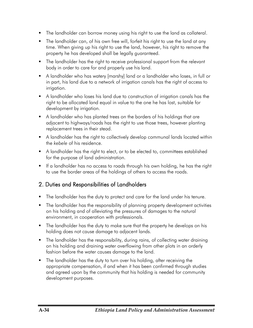- The landholder can borrow money using his right to use the land as collateral.
- The landholder can, of his own free will, forfeit his right to use the land at any time. When giving up his right to use the land, however, his right to remove the property he has developed shall be legally guaranteed.
- **The landholder has the right to receive professional support from the relevant** body in order to care for and properly use his land.
- A landholder who has watery [marshy] land or a landholder who loses, in full or in part, his land due to a network of irrigation canals has the right of access to irrigation.
- A landholder who loses his land due to construction of irrigation canals has the right to be allocated land equal in value to the one he has lost, suitable for development by irrigation.
- A landholder who has planted trees on the borders of his holdings that are adjacent to highways/roads has the right to use those trees, however planting replacement trees in their stead.
- A landholder has the right to collectively develop communal lands located within the *kebele* of his residence.
- A landholder has the right to elect, or to be elected to, committees established for the purpose of land administration.
- If a landholder has no access to roads through his own holding, he has the right to use the border areas of the holdings of others to access the roads.

# 2. Duties and Responsibilities of Landholders

- The landholder has the duty to protect and care for the land under his tenure.
- **The landholder has the responsibility of planning property development activities** on his holding and of alleviating the pressures of damages to the natural environment, in cooperation with professionals.
- **The landholder has the duty to make sure that the property he develops on his** holding does not cause damage to adjacent lands.
- The landholder has the responsibility, during rains, of collecting water draining on his holding and draining water overflowing from other plots in an orderly fashion before the water causes damage to the land.
- The landholder has the duty to turn over his holding, after receiving the appropriate compensation, if and when it has been confirmed through studies and agreed upon by the community that his holding is needed for community development purposes.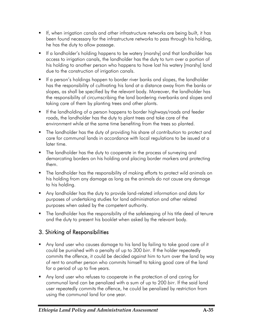- If, when irrigation canals and other infrastructure networks are being built, it has been found necessary for the infrastructure networks to pass through his holding, he has the duty to allow passage.
- If a landholder's holding happens to be watery [marshy] and that landholder has access to irrigation canals, the landholder has the duty to turn over a portion of his holding to another person who happens to have lost his watery [marshy] land due to the construction of irrigation canals.
- If a person's holdings happen to border river banks and slopes, the landholder has the responsibility of cultivating his land at a distance away from the banks or slopes, as shall be specified by the relevant body. Moreover, the landholder has the responsibility of circumscribing the land bordering riverbanks and slopes and taking care of them by planting trees and other plants.
- If the landholding of a person happens to border highways/roads and feeder roads, the landholder has the duty to plant trees and take care of the environment while at the same time benefiting from the trees so planted.
- The landholder has the duty of providing his share of contribution to protect and care for communal lands in accordance with local regulations to be issued at a later time.
- The landholder has the duty to cooperate in the process of surveying and demarcating borders on his holding and placing border markers and protecting them.
- **The landholder has the responsibility of making efforts to protect wild animals on** his holding from any damage as long as the animals do not cause any damage to his holding.
- Any landholder has the duty to provide land-related information and data for purposes of undertaking studies for land administration and other related purposes when asked by the competent authority.
- The landholder has the responsibility of the safekeeping of his title deed of tenure and the duty to present his booklet when asked by the relevant body.

# 3. Shirking of Responsibilities

- Any land user who causes damage to his land by failing to take good care of it could be punished with a penalty of up to 300 *birr*. If the holder repeatedly commits the offence, it could be decided against him to turn over the land by way of rent to another person who commits himself to taking good care of the land for a period of up to five years.
- Any land user who refuses to cooperate in the protection of and caring for communal land can be penalized with a sum of up to 200 *birr*. If the said land user repeatedly commits the offence, he could be penalized by restriction from using the communal land for one year.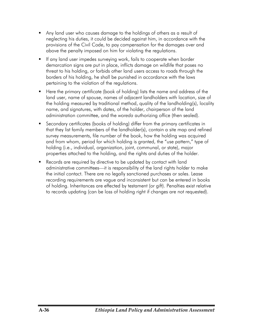- Any land user who causes damage to the holdings of others as a result of neglecting his duties, it could be decided against him, in accordance with the provisions of the Civil Code, to pay compensation for the damages over and above the penalty imposed on him for violating the regulations.
- **If any land user impedes surveying work, fails to cooperate when border** demarcation signs are put in place, inflicts damage on wildlife that poses no threat to his holding, or forbids other land users access to roads through the borders of his holding, he shall be punished in accordance with the laws pertaining to the violation of the regulations.
- Here the primary certificate (book of holding) lists the name and address of the land user, name of spouse, names of adjacent landholders with location, size of the holding measured by traditional method, quality of the landholding(s), locality name, and signatures, with dates, of the holder, chairperson of the land administration committee, and the *woreda* authorizing office (then sealed).
- Secondary certificates (books of holding) differ from the primary certificates in that they list family members of the landholder(s), contain a site map and refined survey measurements, file number of the book, how the holding was acquired and from whom, period for which holding is granted, the "use pattern," type of holding (i.e., individual, organization, joint, communal, or state), major properties attached to the holding, and the rights and duties of the holder.
- Records are required by directive to be updated by contact with land administrative committees—it is responsibility of the land rights holder to make the initial contact. There are no legally sanctioned purchases or sales. Lease recording requirements are vague and inconsistent but can be entered in books of holding. Inheritances are effected by testament (or gift). Penalties exist relative to records updating (can be loss of holding right if changes are not requested).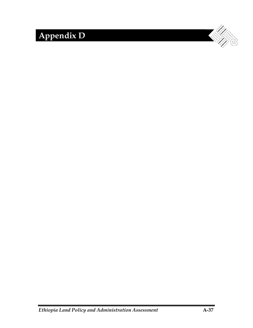# **Appendix D**

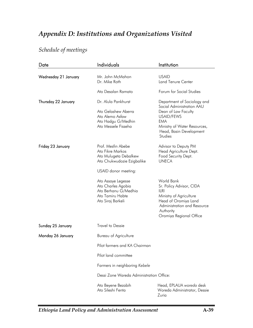# *Appendix D: Institutions and Organizations Visited*

# *Schedule of meetings*

| Date                 | Individuals                                                                                                           | Institution                                                                                                                                                                     |  |
|----------------------|-----------------------------------------------------------------------------------------------------------------------|---------------------------------------------------------------------------------------------------------------------------------------------------------------------------------|--|
| Wednesday 21 January | Mr. John McMahon<br>Dr. Mike Roth                                                                                     | <b>USAID</b><br><b>Land Tenure Center</b>                                                                                                                                       |  |
|                      | Ato Desalan Ramato                                                                                                    | Forum for Social Studies                                                                                                                                                        |  |
| Thursday 22 January  | Dr. Alula Pankhurst<br>Ato Gelashew Aberra<br>Ato Alemo Asfaw<br>Ato Hadgu G/Medhin<br>Ato Messele Fisseha            | Department of Sociology and<br>Social Administration AAU<br>Dean of Law Faculty<br>USAID/FEWS<br>EMA<br>Ministry of Water Resources,<br>Head, Basin Development<br>Studies      |  |
| Friday 23 January    | Prof. Mesfin Abebe<br>Ato Fikre Markos<br>Ato Mulugeta Debalkew<br>Ato Chukwudozie Ezigbalike<br>USAID donor meeting: | Advisor to Deputy PM<br>Head Agriculture Dept.<br>Food Security Dept.<br><b>UNECA</b>                                                                                           |  |
|                      | Ato Assaye Legesse<br>Ato Charles Agobia<br>Ato Berhanu G/Medhia<br>Ato Tamiru Habte<br>Ato Siraj Barkeli             | World Bank<br>Sr. Policy Advisor, CIDA<br><b>ILRI</b><br>Ministry of Agriculture<br>Head of Oromiya Land<br>Administration and Resource<br>Authority<br>Oromiya Regional Office |  |
| Sunday 25 January    | <b>Travel to Dessie</b>                                                                                               |                                                                                                                                                                                 |  |
| Monday 26 January    | Bureau of Agriculture                                                                                                 |                                                                                                                                                                                 |  |
|                      | Pilot farmers and KA Chairman                                                                                         |                                                                                                                                                                                 |  |
|                      | Pilot land committee                                                                                                  |                                                                                                                                                                                 |  |
|                      | Farmers in neighboring Kebele                                                                                         |                                                                                                                                                                                 |  |
|                      | Dessi Zone Wareda Administration Office:                                                                              |                                                                                                                                                                                 |  |
|                      | Ato Beyene Bezabih<br>Ato Sileshi Fenta                                                                               | Head, EPLAUA woreda desk<br>Woreda Administrator, Dessie<br>Zuria                                                                                                               |  |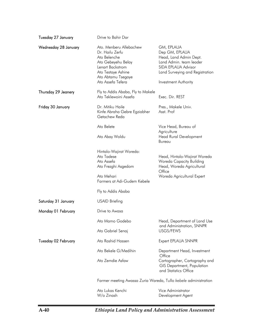| Tuesday 27 January   | Drive to Bahir Dar                                                                                                                               |                                                                                                                                             |
|----------------------|--------------------------------------------------------------------------------------------------------------------------------------------------|---------------------------------------------------------------------------------------------------------------------------------------------|
| Wednesday 28 January | Ato. Menberu Allebachew<br>Dr. Hailu Zerfu<br>Ato Belenche<br>Ato Gebeyehu Belay<br>Lenart Backstrom<br>Ato Testaye Ashine<br>Ato Abtamu Tsegaye | GM, EPLAUA<br>Dep GM, EPLAUA<br>Head, Land Admin Dept.<br>Land Admin. team leader<br>SIDA EPLAUA Advisor<br>Land Surveying and Registration |
|                      | Ato Assefa Tefera                                                                                                                                | <b>Investment Authority</b>                                                                                                                 |
| Thursday 29 Jeanery  | Fly to Addis Ababa, Fly to Makele<br>Ato Teklewoini Assefa                                                                                       | Exec. Dir. REST                                                                                                                             |
| Friday 30 January    | Dr. Mitiku Haile<br>Kinfe Abraha Gebre Egziabher<br>Getachew Reda                                                                                | Pres., Makele Univ.<br>Asst. Prof                                                                                                           |
|                      | Ato Belete                                                                                                                                       | Vice Head, Bureau of                                                                                                                        |
|                      | Ato Abay Woldu                                                                                                                                   | Agriculture<br><b>Head Rural Development</b><br>Bureau                                                                                      |
|                      | Hintalo-Wajirat Woreda:<br>Ato Tadese<br>Ato Assefa<br>Ato Frezghi Asgedom<br>Ato Mehari<br>Farmers at Adi-Gudem Kebele                          | Head, Hintalo-Wajirat Woreda<br><b>Woreda Capacity Building</b><br>Head, Woreda Agricultural<br>Office<br>Woreda Agricultural Expert        |
|                      | Fly to Addis Ababa                                                                                                                               |                                                                                                                                             |
| Saturday 31 January  | USAID Briefing                                                                                                                                   |                                                                                                                                             |
| Monday 01 February   | Drive to Awasa                                                                                                                                   |                                                                                                                                             |
|                      | Ato Mamo Godebo                                                                                                                                  | Head, Department of Land Use<br>and Administration, SNNPR                                                                                   |
|                      | Ato Gabriel Senaj                                                                                                                                | USGS/FEWS                                                                                                                                   |
| Tuesday 02 February  | Ato Rashid Hassen                                                                                                                                | Expert EPLAUA SNNPR                                                                                                                         |
|                      | Ato Bekele G/Medihin                                                                                                                             | Department Head, Investment<br>Office                                                                                                       |
|                      | Ato Zemdie Asfaw                                                                                                                                 | Cartographer, Cartography and<br>GIS Department, Population<br>and Statistics Office                                                        |
|                      | Farmer meeting Awassa Zuria Wareda, Tullo kebele administration                                                                                  |                                                                                                                                             |
|                      | Ato Lukas Kenchi<br>W/o Zinash                                                                                                                   | Vice Administrator<br>Development Agent                                                                                                     |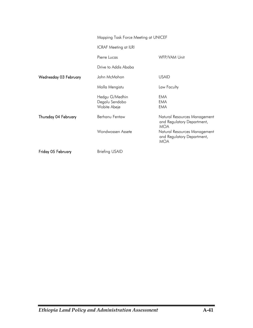|                       | Mapping Task Force Meeting at UNICEF             |                                                                          |
|-----------------------|--------------------------------------------------|--------------------------------------------------------------------------|
|                       | <b>ICRAF Meeting at ILRI</b>                     |                                                                          |
|                       | Pierre Lucas                                     | WFP/VAM Unit                                                             |
|                       | Drive to Addis Ababa                             |                                                                          |
| Wednesday 03 February | John McMahon                                     | <b>USAID</b>                                                             |
|                       | Molla Mengistu                                   | Law Faculty                                                              |
|                       | Hedgu G/Medhin<br>Degalu Sendabo<br>Wobite Abeje | EMA<br>EMA<br>EMA                                                        |
| Thursday 04 February  | Berhanu Fentaw                                   | Natural Resources Management<br>and Regulatory Department,<br><b>MOA</b> |
|                       | Wondwossen Assete                                | Natural Resources Management<br>and Regulatory Department,<br><b>MOA</b> |
| Friday 05 February    | <b>Briefing USAID</b>                            |                                                                          |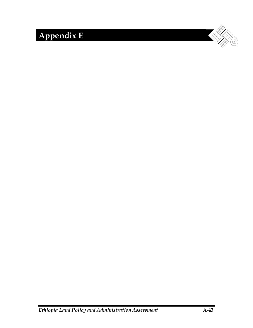# **Appendix E**

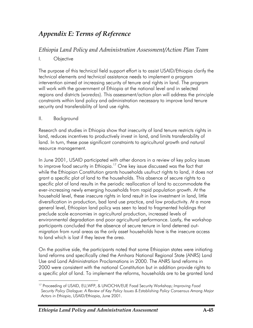# *Appendix E: Terms of Reference*

# *Ethiopia Land Policy and Administration Assessment/Action Plan Team*

### I. Objective

The purpose of this technical field support effort is to assist USAID/Ethiopia clarify the technical elements and technical assistance needs to implement a program intervention aimed at increasing security of tenure and rights in land. The program will work with the government of Ethiopia at the national level and in selected regions and districts (*woredas*). This assessment/action plan will address the principle constraints within land policy and administration necessary to improve land tenure security and transferability of land use rights.

### II. Background

Research and studies in Ethiopia show that insecurity of land tenure restricts rights in land, reduces incentives to productively invest in land, and limits transferability of land. In turn, these pose significant constraints to agricultural growth and natural resource management.

In June 2001, USAID participated with other donors in a review of key policy issues to improve food security in Ethiopia.<sup>17</sup> One key issue discussed was the fact that while the Ethiopian Constitution grants households usufruct rights to land, it does not grant a specific plot of land to the households. This absence of secure rights to a specific plot of land results in the periodic reallocation of land to accommodate the ever-increasing newly emerging households from rapid population growth. At the household level, these insecure rights in land result in low investment in land, little diversification in production, bad land use practice, and low productivity. At a more general level, Ethiopian land policy was seen to lead to fragmented holdings that preclude scale economies in agricultural production, increased levels of environmental degradation and poor agricultural performance. Lastly, the workshop participants concluded that the absence of secure tenure in land deterred outmigration from rural areas as the only asset households have is the insecure access to land which is lost if they leave the area.

On the positive side, the participants noted that some Ethiopian states were initiating land reforms and specifically cited the Amhara National Regional State (ANRS) Land Use and Land Administration Proclamations in 2000. The ANRS land reforms in 2000 were consistent with the national Constitution but in addition provide rights to a specific plot of land. To implement the reforms, households are to be granted land

 $\overline{a}$ 17 Proceeding of USAID, EU,WFP, & UNOCHA/EUE Food Security Workshop; *Improving Food Security Policy Dialogue: A Review of Key Policy Issues & Establishing Policy Consensus Among Major Actors in Ethiopia*, USAID/Ethiopia, June 2001.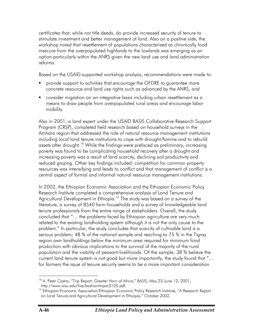certificates that, while not title deeds, do provide increased security of tenure to stimulate investment and better management of land. Also on a positive side, the workshop noted that resettlement of populations characterized as chronically food insecure from the overpopulated highlands to the lowlands was emerging as an option particularly within the ANRS given the new land use and land administration reforms.

Based on the USAID supported workshop analysis, recommendations were made to:

- provide support to activities that encourage the GFDRE to guarantee more concrete resource and land use rights such as advanced by the ANRS, and
- consider migration on an integrative basis including urban resettlement as a means to draw people from overpopulated rural areas and encourage labor mobility.

Also in 2001, a land expert under the USAID BASIS Collaborative Research Support Program (CRSP), completed field research based on household surveys in the Amhara region that addressed the role of natural resource management institutions including local land tenure institutions to cope with drought/famine and to rebuild assets after drought.<sup>18</sup> While the findings were prefaced as preliminary, increasing poverty was found to be complicating household recovery after a drought and increasing poverty was a result of land scarcity, declining soil productivity and reduced grazing. Other key findings included: competition for common property resources was intensifying and leads to conflict and that management of conflict is a central aspect of formal and informal natural resource management institutions.

In 2002, the Ethiopian Economic Association and the Ethiopian Economic Policy Research Institute completed a comprehensive analysis of Land Tenure and Agricultural Development in Ethiopia.<sup>19</sup> The study was based on a survey of the literature, a survey of 8540 farm households and a survey of knowledgeable land tenure professionals from the entire range of stakeholders. Overall, the study concluded that "… the problems faced by Ethiopian agriculture are very much related to the existing landholding system although it is not the only cause to the problem." In particular, the study concludes that scarcity of cultivable land is a serious problem; 48 % of the national sample and reaching to 75 % in the Tigray region own landholdings below the minimum area required for minimum food production with obvious implications to the survival of the majority of the rural population and the viability of peasant livelihoods. Of the sample, 38 % believe the current land tenure system is not good but more importantly, the study found that "… for farmers the issue of tenure security seems to be a more important consideration

 $\overline{a}$ 

<sup>&</sup>lt;sup>18</sup> A. Peter Castro; "Trip Report: Greater Horn of Africa," BASIS, May 23-June 12, 2001, http://www.wisc.edu/live/bashorntripac0105.pdf.

<sup>&</sup>lt;sup>19</sup> Ethiopian Economic Association/Ethiopian Economic Policy Research Institute; "A Research Report on Land Tenure and Agricultural Development in Ethiopia," October 2002.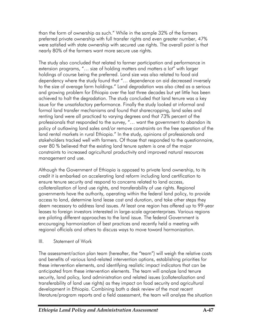than the form of ownership as such." While in the sample 32% of the farmers preferred private ownership with full transfer rights and even greater number, 47% were satisfied with state ownership with secured use rights. The overall point is that nearly 80% of the farmers want more secure use rights.

The study also concluded that related to farmer participation and performance in extension programs, "… size of holding matters and matters a lot" with larger holdings of course being the preferred. Land size was also related to food aid dependency where the study found that "… dependence on aid decreased inversely to the size of average farm holdings." Land degradation was also cited as a serious and growing problem for Ethiopia over the last three decades but yet little has been achieved to halt the degradation. The study concluded that land tenure was a key issue for the unsatisfactory performance. Finally the study looked at informal and formal land transfer mechanisms and found that sharecropping, land sales and renting land were all practiced to varying degrees and that 73% percent of the professionals that responded to the survey, "… want the government to abandon its policy of outlawing land sales and/or remove constraints on the free operation of the land rental markets in rural Ethiopia." In the study, opinions of professionals and stakeholders tracked well with farmers. Of those that responded to the questionnaire, over 80 % believed that the existing land tenure system is one of the major constraints to increased agricultural productivity and improved natural resources management and use.

Although the Government of Ethiopia is opposed to private land ownership, to its credit it is embarked on accelerating land reform including land certification to ensure tenure security and respond to concerns related to land access, collateralization of land use rights, and transferability of use rights. Regional governments have the authority, operating within the federal land policy, to provide access to land, determine land lease cost and duration, and take other steps they deem necessary to address land issues. At least one region has offered up to 99-year leases to foreign investors interested in large-scale agroenterprises. Various regions are piloting different approaches to the land issue. The federal Government is encouraging harmonization of best practices and recently held a meeting with regional officials and others to discuss ways to move toward harmonization.

### III. Statement of Work

The assessment/action plan team (hereafter, the "team") will weigh the relative costs and benefits of various land-related intervention options, establishing priorities for these intervention elements, and identifying realistic impact indicators that can be anticipated from these intervention elements. The team will analyze land tenure security, land policy, land administration and related issues (collateralization and transferability of land use rights) as they impact on food security and agricultural development in Ethiopia. Combining both a desk review of the most recent literature/program reports and a field assessment, the team will analyze the situation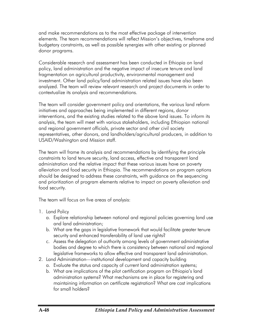and make recommendations as to the most effective package of intervention elements. The team recommendations will reflect Mission's objectives, timeframe and budgetary constraints, as well as possible synergies with other existing or planned donor programs.

Considerable research and assessment has been conducted in Ethiopia on land policy, land administration and the negative impact of insecure tenure and land fragmentation on agricultural productivity, environmental management and investment. Other land policy/land administration related issues have also been analyzed. The team will review relevant research and project documents in order to contextualize its analysis and recommendations.

The team will consider government policy and orientations, the various land reform initiatives and approaches being implemented in different regions, donor interventions, and the existing studies related to the above land issues. To inform its analysis, the team will meet with various stakeholders, including Ethiopian national and regional government officials, private sector and other civil society representatives, other donors, and landholders/agricultural producers, in addition to USAID/Washington and Mission staff.

The team will frame its analysis and recommendations by identifying the principle constraints to land tenure security, land access, effective and transparent land administration and the relative impact that these various issues have on poverty alleviation and food security in Ethiopia. The recommendations on program options should be designed to address these constraints, with guidance on the sequencing and prioritization of program elements relative to impact on poverty alleviation and food security.

The team will focus on five areas of analysis:

- 1. Land Policy
	- a. Explore relationship between national and regional policies governing land use and land administration;
	- b. What are the gaps in legislative framework that would facilitate greater tenure security and enhanced transferability of land use rights?
	- c. Assess the delegation of authority among levels of government administrative bodies and degree to which there is consistency between national and regional legislative frameworks to allow effective and transparent land administration.
- 2. Land Administration—institutional development and capacity building
	- a. Evaluate the status and capacity of current land administration systems;
	- b. What are implications of the pilot certification program on Ethiopia's land administration systems? What mechanisms are in place for registering and maintaining information on certificate registration? What are cost implications for small holders?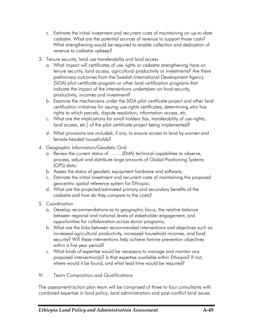- c. Estimate the initial investment and recurrent costs of maintaining an up-to-date cadastre. What are the potential sources of revenue to support those costs? What strengthening would be required to enable collection and dedication of revenue to cadastre upkeep?
- 3. Tenure security, land use transferability and land access
	- a. What impact will certificates of use rights or cadastre strengthening have on tenure security, land access, agricultural productivity or investments? Are there preliminary outcomes from the Swedish International Development Agency (SIDA) pilot certificate program or other land certification programs that indicate the impact of the interventions undertaken on food security, productivity, incomes and investment?
	- b. Examine the mechanisms under the SIDA pilot certificate project and other land certification initiatives for issuing use-rights certificates, determining who has rights to which parcels, dispute resolution, information access, etc.
	- c. What are the implications for small holders (tax, transferability of use-rights, land access, etc.) of the pilot certificate project being implemented?
	- d. What provisions are included, if any, to ensure access to land by women and female-headed households?
- 4. Geographic Information/Geodetic Grid
	- a. Review the current status of ……..(EMA) technical capabilities to observe, process, adjust and distribute large amounts of Global Positioning Systems (GPS) data;
	- b. Assess the status of geodetic equipment hardware and software;
	- c. Estimate the initial investment and recurrent costs of maintaining the proposed geocentric spatial reference system for Ethiopia;
	- d. What are the projected/estimated primary and secondary benefits of the cadastre and how do they compare to the costs?
- 5. Coordination
	- a. Develop recommendations as to geographic focus, the relative balance between regional and national levels of stakeholder engagement, and opportunities for collaboration across donor programs;
	- b. What are the links between recommended interventions and objectives such as increased agricultural productivity, increased household incomes, and food security? Will these interventions help achieve famine prevention objectives within a five year period?
	- c. What kinds of expertise would be necessary to manage and monitor any proposed intervention(s)? Is that expertise available within Ethiopia? If not, where would it be found, and what lead time would be required?
- IV. Team Composition and Qualifications

The assessment/action plan team will be comprised of three to four consultants with combined expertise in land policy, land administration and post-conflict land issues.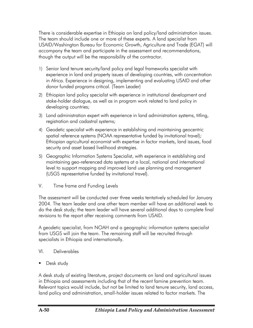There is considerable expertise in Ethiopia on land policy/land administration issues. The team should include one or more of these experts. A land specialist from USAID/Washington Bureau for Economic Growth, Agriculture and Trade (EGAT) will accompany the team and participate in the assessment and recommendations, though the output will be the responsibility of the contractor.

- 1) Senior land tenure security/land policy and legal frameworks specialist with experience in land and property issues of developing countries, with concentration in Africa. Experience in designing, implementing and evaluating USAID and other donor funded programs critical. (Team Leader)
- 2) Ethiopian land policy specialist with experience in institutional development and stake-holder dialogue, as well as in program work related to land policy in developing countries;
- 3) Land administration expert with experience in land administration systems, titling, registration and cadastral systems;
- 4) Geodetic specialist with experience in establishing and maintaining geocentric spatial reference systems (NOAA representative funded by invitational travel); Ethiopian agricultural economist with expertise in factor markets, land issues, food security and asset based livelihood strategies.
- 5) Geographic Information Systems Specialist, with experience in establishing and maintaining geo-referenced data systems at a local, national and international level to support mapping and improved land use planning and management (USGS representative funded by invitational travel).
- V. Time frame and Funding Levels

The assessment will be conducted over three weeks tentatively scheduled for January 2004. The team leader and one other team member will have an additional week to do the desk study; the team leader will have several additional days to complete final revisions to the report after receiving comments from USAID.

A geodetic specialist, from NOAH and a geographic information systems specialist from USGS will join the team. The remaining staff will be recruited through specialists in Ethiopia and internationally.

- VI. Deliverables
- **Desk study**

A desk study of existing literature, project documents on land and agricultural issues in Ethiopia and assessments including that of the recent famine prevention team. Relevant topics would include, but not be limited to land tenure security, land access, land policy and administration, small-holder issues related to factor markets. The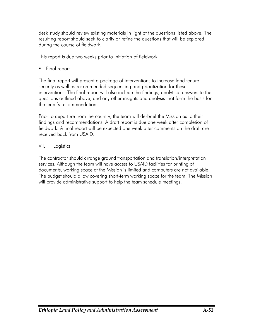desk study should review existing materials in light of the questions listed above. The resulting report should seek to clarify or refine the questions that will be explored during the course of fieldwork.

This report is due two weeks prior to initiation of fieldwork.

Final report

The final report will present a package of interventions to increase land tenure security as well as recommended sequencing and prioritization for these interventions. The final report will also include the findings, analytical answers to the questions outlined above, and any other insights and analysis that form the basis for the team's recommendations.

Prior to departure from the country, the team will de-brief the Mission as to their findings and recommendations. A draft report is due one week after completion of fieldwork. A final report will be expected one week after comments on the draft are received back from USAID.

### VII. Logistics

The contractor should arrange ground transportation and translation/interpretation services. Although the team will have access to USAID facilities for printing of documents, working space at the Mission is limited and computers are not available. The budget should allow covering short-term working space for the team. The Mission will provide administrative support to help the team schedule meetings.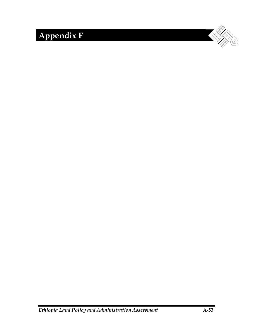# **Appendix F**

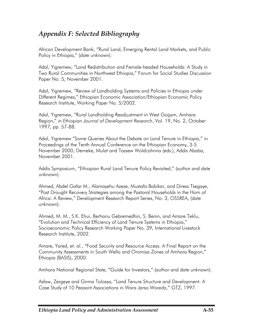# *Appendix F: Selected Bibliography*

African Development Bank, "Rural Land, Emerging Rental Land Markets, and Public Policy in Ethiopia," (date unknown).

Adal, Yigremew, "Land Redistribution and Female-headed Households: A Study in Two Rural Communities in Northwest Ethiopia," Forum for Social Studies Discussion Paper No. 5, November 2001.

Adal, Yigremew, "Review of Landholding Systems and Policies in Ethiopia under Different Regimes," Ethiopian Economic Association/Ethiopian Economic Policy Research Institute, Working Paper No. 5/2002.

Adal, Yigremew, "Rural Landholding Readjustment in West Gojjam, Amhara Region," in *Ethiopian Journal of Development Research*, Vol. 19, No. 2, October 1997, pp. 57-88.

Adal, Yigremew "Some Queries About the Debate on Land Tenure in Ethiopia," in Proceedings of the Tenth Annual Conference on the Ethiopian Economy, 3-5 November 2000; Demeke, Mulat and Tassew Woldcahnna (eds.), Addis Ababa, November 2001.

Addis Symposium, "Ethiopian Rural Land Tenure Policy Revisited," (author and date unknown)*.* 

Ahmed, Abdel Gafar M., Alamayehu Azeze, Mustafa Babikar, and Diress Tsegaye, "Post Drought Recovery Strategies among the Pastoral Households in the Horn of Africa: A Review," Development Research Report Series, No. 3, OSSREA, (date unknown).

Ahmed, M. M., S.K. Ehui, Berhanu Gebremedhin, S. Benin, and Amare Teklu, "Evolution and Technical Efficiency of Land Tenure Systems in Ethiopia," Socioeconomic Policy Research Working Paper No. 39, International Livestock Research Institute, 2002.

Amare, Yared, *et. al.*, "Food Security and Resource Access: A Final Report on the Community Assessments in South Wello and Oromiya Zones of Amhara Region," Ethiopia (BASIS), 2000.

Amhara National Regional State, "Guide for Investors," (author and date unknown).

Asfaw, Zergeye and Girma Tolossa, "Land Tenure Structure and Development: A Case Study of 10 Peasant Associations in Wara Jarso *Woreda*," GTZ, 1997.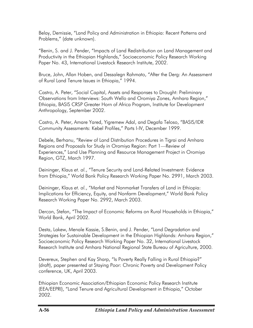Belay, Demissie, "Land Policy and Administration in Ethiopia: Recent Patterns and Problems," (date unknown).

"Benin, S. and J. Pender, "Impacts of Land Redistribution on Land Management and Productivity in the Ethiopian Highlands," Socioeconomic Policy Research Working Paper No. 43, International Livestock Research Institute, 2002.

Bruce, John, Allan Hoben, and Dessalegn Rahmato, "After the Derg: An Assessment of Rural Land Tenure Issues in Ethiopia," 1994.

Castro, A. Peter, "Social Capital, Assets and Responses to Drought: Preliminary Observations from Interviews: South Wello and Oromiya Zones, Amhara Region," Ethiopia, BASIS CRSP Greater Horn of Africa Program, Institute for Development Anthropology, September 2002.

Castro, A. Peter, Amare Yared, Yigremew Adal, and Degafa Teloso, "BASIS/IDR Community Assessments: Kebel Profiles," Parts I-IV, December 1999.

Debele, Berhanu, "Review of Land Distribution Procedures in Tigrai and Amhara Regions and Proposals for Study in Oromiya Region: Part 1—Review of Experiences," Land Use Planning and Resource Management Project in Oromiya Region, GTZ, March 1997.

Deininger, Klaus *et. al.*, "Tenure Security and Land-Related Investment: Evidence from Ethiopia," World Bank Policy Research Working Paper No. 2991, March 2003.

Deininger, Klaus *et. al.*, "Market and Nonmarket Transfers of Land in Ethiopia: Implications for Efficiency, Equity, and Nonfarm Development," World Bank Policy Research Working Paper No. 2992, March 2003.

Dercon, Stefan, "The Impact of Economic Reforms on Rural Households in Ethiopia," World Bank, April 2002.

Desta, Lakew, Menale Kassie, S.Benin, and J. Pender, "Land Degradation and Strategies for Sustainable Development in the Ethiopian Highlands: Amhara Region," Socioeconomic Policy Research Working Paper No. 32, International Livestock Research Institute and Amhara National Regional State Bureau of Agriculture, 2000.

Devereux, Stephen and Kay Sharp, "Is Poverty Really Falling in Rural Ethiopia?" (draft), paper presented at Staying Poor: Chronic Poverty and Development Policy conference, UK, April 2003.

Ethiopian Economic Association/Ethiopian Economic Policy Research Institute (EEA/EEPRI), "Land Tenure and Agricultural Development in Ethiopia," October 2002.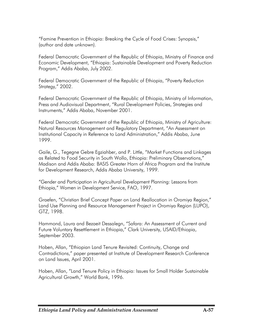"Famine Prevention in Ethiopia: Breaking the Cycle of Food Crises: Synopsis," (author and date unknown).

Federal Democratic Government of the Republic of Ethiopia, Ministry of Finance and Economic Development, "Ethiopia: Sustainable Development and Poverty Reduction Program," Addis Ababa, July 2002.

Federal Democratic Government of the Republic of Ethiopia, "Poverty Reduction Strategy," 2002.

Federal Democratic Government of the Republic of Ethiopia, Ministry of Information, Press and Audiovisual Department, "Rural Development Policies, Strategies and Instruments," Addis Ababa, November 2001.

Federal Democratic Government of the Republic of Ethiopia, Ministry of Agriculture: Natural Resources Management and Regulatory Department, "An Assessment on Institutional Capacity in Reference to Land Administration," Addis Ababa, June 1999.

Gaile, G., Tegegne Gebre Egziahber, and P. Little, "Market Functions and Linkages as Related to Food Security in South Wollo, Ethiopia: Preliminary Observations," Madison and Addis Ababa: BASIS Greater Horn of Africa Program and the Institute for Development Research, Addis Ababa University, 1999.

"Gender and Participation in Agricultural Development Planning: Lessons from Ethiopia," Women in Development Service, FAO, 1997.

Graefen, "Christian Brief Concept Paper on Land Reallocation in Oromiya Region," Land Use Planning and Resource Management Project in Oromiya Region (LUPO), GTZ, 1998.

Hammond, Laura and Bezaeit Dessalegn, "Safara: An Assessment of Current and Future Voluntary Resettlement in Ethiopia," Clark University, USAID/Ethiopia, September 2003.

Hoben, Allan, "Ethiopian Land Tenure Revisited: Continuity, Change and Contradictions," paper presented at Institute of Development Research Conference on Land Issues, April 2001.

Hoben, Allan, "Land Tenure Policy in Ethiopia: Issues for Small Holder Sustainable Agricultural Growth," World Bank, 1996.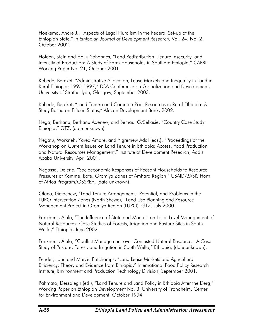Hoekema, Andre J., "Aspects of Legal Pluralism in the Federal Set-up of the Ethiopian State," in *Ethiopian Journal of Development Research*, Vol. 24, No. 2, October 2002.

Holden, Stein and Hailu Yohannes, "Land Redistribution, Tenure Insecurity, and Intensity of Production: A Study of Farm Households in Southern Ethiopia," CAPRi Working Paper No. 21, October 2001.

Kebede, Bereket, "Administrative Allocation, Lease Markets and Inequality in Land in Rural Ethiopia: 1995-1997," DSA Conference on Globalization and Development, University of Stratheclyde, Glasgow, September 2003.

Kebede, Bereket, "Land Tenure and Common Pool Resources in Rural Ethiopia: A Study Based on Fifteen States," African Development Bank, 2002.

Nega, Berhanu, Berhanu Adenew, and Semaul G/Sellasie, "Country Case Study: Ethiopia," GTZ, (date unknown).

Negatu, Workneh, Yared Amare, and Yigremew Adal (eds.), "Proceedings of the Workshop on Current Issues on Land Tenure in Ethiopia: Access, Food Production and Natural Resources Management," Institute of Development Research, Addis Ababa University, April 2001.

Negassa, Dejene, "Socioeconomic Responses of Peasant Households to Resource Pressures at Kamme, Bate, Oromiya Zones of Amhara Region," USAID/BASIS Horn of Africa Program/OSSREA, (date unknown).

Olana, Getachew, "Land Tenure Arrangements, Potential, and Problems in the LUPO Intervention Zones (North Shewa)," Land Use Planning and Resource Management Project in Oromiya Region (LUPO), GTZ, July 2000.

Pankhurst, Alula, "The Influence of State and Markets on Local Level Management of Natural Resources: Case Studies of Forests, Irrigation and Pasture Sites in South Wello," Ethiopia, June 2002.

Pankhurst, Alula, "Conflict Management over Contested Natural Resources: A Case Study of Pasture, Forest, and Irrigation in South Wello," Ethiopia, (date unknown).

Pender, John and Marcel Fafchamps, "Land Lease Markets and Agricultural Efficiency: Theory and Evidence from Ethiopia," International Food Policy Research Institute, Environment and Production Technology Division, September 2001.

Rahmato, Dessalegn (ed.), "Land Tenure and Land Policy in Ethiopia After the Derg," Working Paper on Ethiopian Development No. 3, University of Trondheim, Center for Environment and Development, October 1994.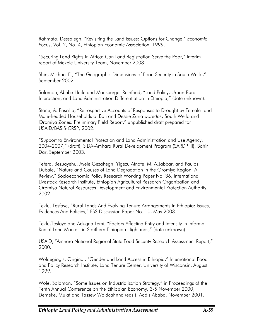Rahmato, Dessalegn, "Revisiting the Land Issues: Options for Change," *Economic Focus*, Vol. 2, No. 4, Ethiopian Economic Association, 1999.

"Securing Land Rights in Africa: Can Land Registration Serve the Poor," interim report of Mekele University Team, November 2003.

Shin, Michael E., "The Geographic Dimensions of Food Security in South Wello," September 2002.

Solomon, Abebe Haile and Mansberger Reinfried, "Land Policy, Urban-Rural Interaction, and Land Administration Differentiation in Ethiopia," (date unknown).

Stone, A. Priscilla, "Retrospective Accounts of Responses to Drought by Female- and Male-headed Households of Bati and Dessie Zuria *woredas*, South Wello and Oromiya Zones: Preliminary Field Report," unpublished draft prepared for USAID/BASIS-CRSP, 2002.

"Support to Environmental Protection and Land Administration and Use Agency, 2004-2007," (draft), SIDA-Amhara Rural Development Program (SARDP III), Bahir Dar, September 2003.

Tefera, Bezuayehu, Ayele Gezahegn, Yigezu Atnafe, M. A.Jabbar, and Paulos Dubale, "Nature and Causes of Land Degradation in the Oromiya Region: A Review," Socioeconomic Policy Research Working Paper No. 36, International Livestock Research Institute, Ethiopian Agricultural Research Organization and Oromiya Natural Resources Development and Environmental Protection Authority, 2002.

Teklu, Tesfaye, "Rural Lands And Evolving Tenure Arrangements In Ethiopia: Issues, Evidences And Policies," FSS Discussion Paper No. 10, May 2003.

Teklu,Tesfaye and Adugna Lemi, "Factors Affecting Entry and Intensity in Informal Rental Land Markets in Southern Ethiopian Highlands," (date unknown).

USAID, "Amhara National Regional State Food Security Research Assessment Report," 2000.

Woldegiogis, Original, "Gender and Land Access in Ethiopia," International Food and Policy Research Institute, Land Tenure Center, University of Wisconsin, August 1999.

Wole, Solomon, "Some Issues on Industrialization Strategy," in Proceedings of the Tenth Annual Conference on the Ethiopian Economy, 3-5 November 2000, Demeke, Mulat and Tassew Woldcahnna (eds.), Addis Ababa, November 2001.